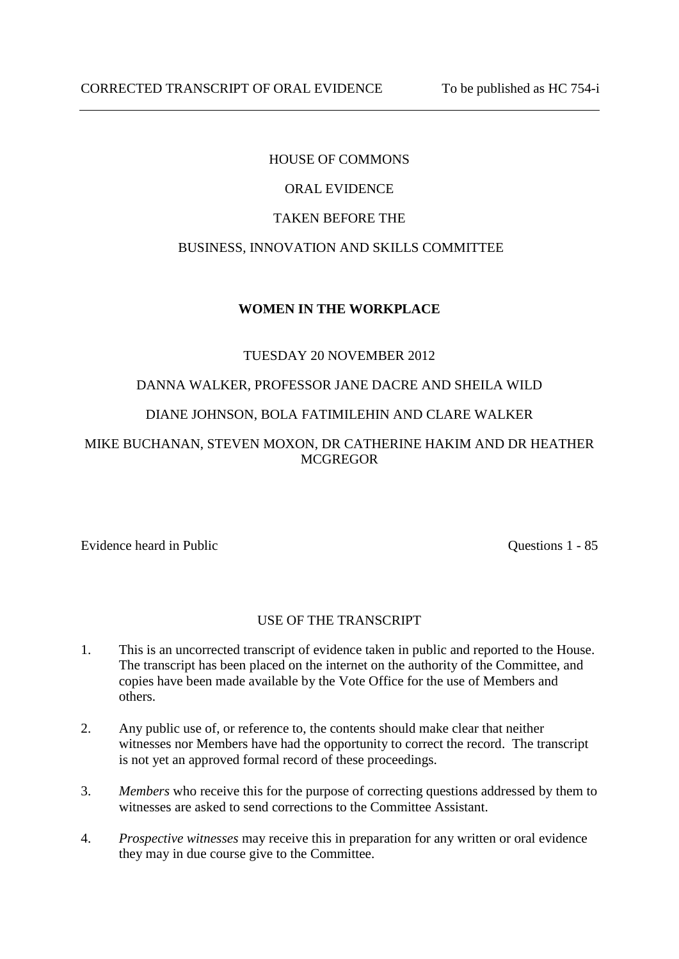# HOUSE OF COMMONS

# ORAL EVIDENCE

### TAKEN BEFORE THE

# BUSINESS, INNOVATION AND SKILLS COMMITTEE

## **WOMEN IN THE WORKPLACE**

## TUESDAY 20 NOVEMBER 2012

## DANNA WALKER, PROFESSOR JANE DACRE AND SHEILA WILD

## DIANE JOHNSON, BOLA FATIMILEHIN AND CLARE WALKER

# MIKE BUCHANAN, STEVEN MOXON, DR CATHERINE HAKIM AND DR HEATHER **MCGREGOR**

Evidence heard in Public Questions 1 - 85

### USE OF THE TRANSCRIPT

- 1. This is an uncorrected transcript of evidence taken in public and reported to the House. The transcript has been placed on the internet on the authority of the Committee, and copies have been made available by the Vote Office for the use of Members and others.
- 2. Any public use of, or reference to, the contents should make clear that neither witnesses nor Members have had the opportunity to correct the record. The transcript is not yet an approved formal record of these proceedings.
- 3. *Members* who receive this for the purpose of correcting questions addressed by them to witnesses are asked to send corrections to the Committee Assistant.
- 4. *Prospective witnesses* may receive this in preparation for any written or oral evidence they may in due course give to the Committee.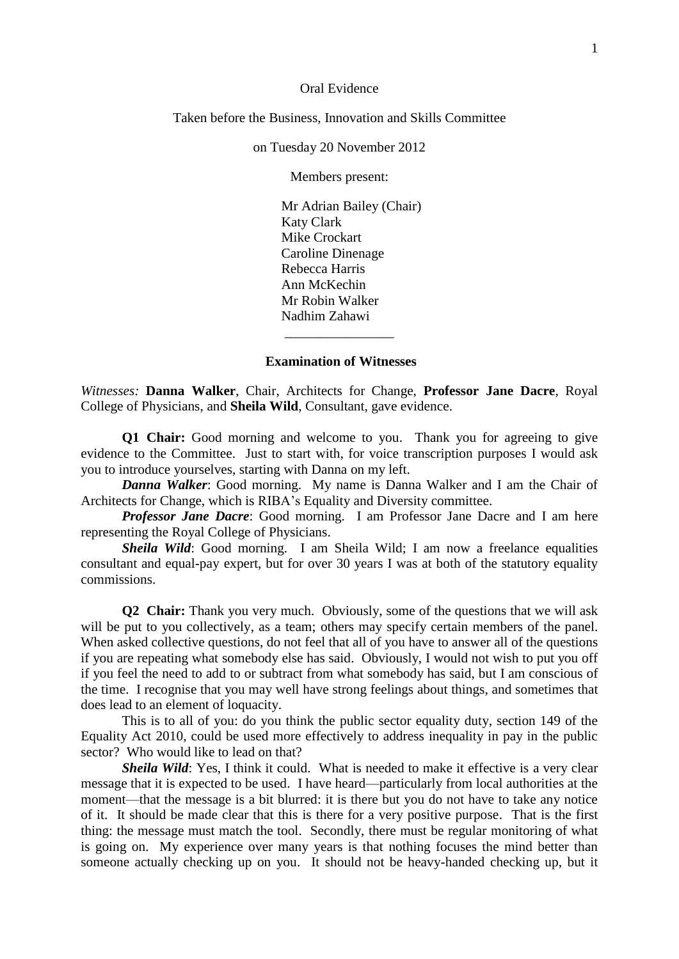#### Oral Evidence

#### Taken before the Business, Innovation and Skills Committee

on Tuesday 20 November 2012

Members present:

Mr Adrian Bailey (Chair) Katy Clark Mike Crockart Caroline Dinenage Rebecca Harris Ann McKechin Mr Robin Walker Nadhim Zahawi

#### **Examination of Witnesses**

\_\_\_\_\_\_\_\_\_\_\_\_\_\_\_\_

*Witnesses:* **Danna Walker**, Chair, Architects for Change, **Professor Jane Dacre**, Royal College of Physicians, and **Sheila Wild**, Consultant, gave evidence.

**Q1 Chair:** Good morning and welcome to you. Thank you for agreeing to give evidence to the Committee. Just to start with, for voice transcription purposes I would ask you to introduce yourselves, starting with Danna on my left.

*Danna Walker*: Good morning. My name is Danna Walker and I am the Chair of Architects for Change, which is RIBA's Equality and Diversity committee.

*Professor Jane Dacre*: Good morning. I am Professor Jane Dacre and I am here representing the Royal College of Physicians.

*Sheila Wild*: Good morning. I am Sheila Wild; I am now a freelance equalities consultant and equal-pay expert, but for over 30 years I was at both of the statutory equality commissions.

**Q2 Chair:** Thank you very much. Obviously, some of the questions that we will ask will be put to you collectively, as a team; others may specify certain members of the panel. When asked collective questions, do not feel that all of you have to answer all of the questions if you are repeating what somebody else has said. Obviously, I would not wish to put you off if you feel the need to add to or subtract from what somebody has said, but I am conscious of the time. I recognise that you may well have strong feelings about things, and sometimes that does lead to an element of loquacity.

This is to all of you: do you think the public sector equality duty, section 149 of the Equality Act 2010, could be used more effectively to address inequality in pay in the public sector? Who would like to lead on that?

*Sheila Wild*: Yes, I think it could. What is needed to make it effective is a very clear message that it is expected to be used. I have heard—particularly from local authorities at the moment—that the message is a bit blurred: it is there but you do not have to take any notice of it. It should be made clear that this is there for a very positive purpose. That is the first thing: the message must match the tool. Secondly, there must be regular monitoring of what is going on. My experience over many years is that nothing focuses the mind better than someone actually checking up on you. It should not be heavy-handed checking up, but it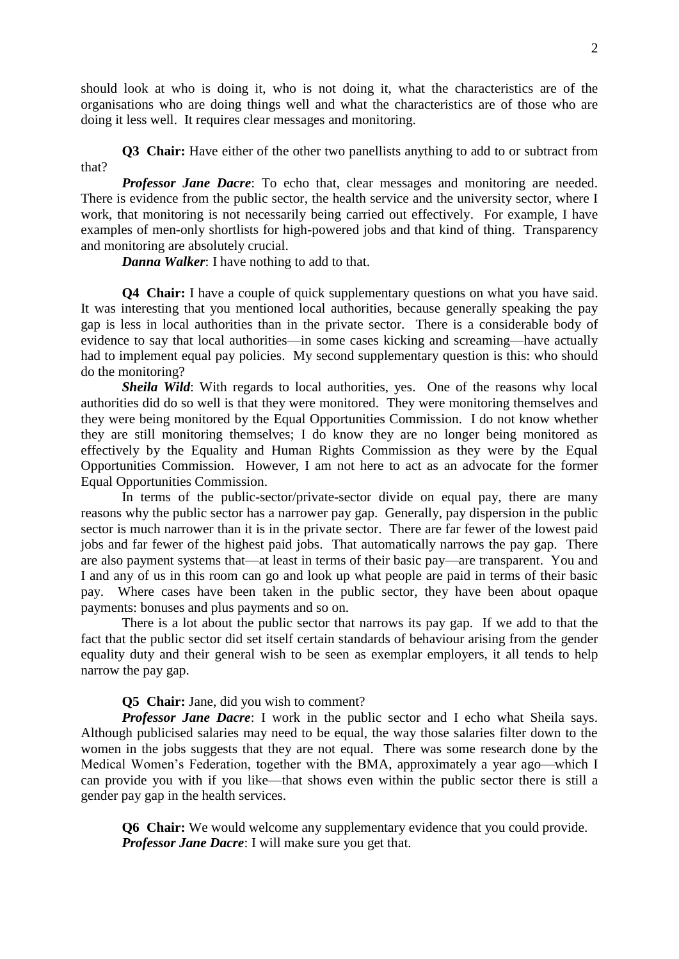should look at who is doing it, who is not doing it, what the characteristics are of the organisations who are doing things well and what the characteristics are of those who are doing it less well. It requires clear messages and monitoring.

**Q3 Chair:** Have either of the other two panellists anything to add to or subtract from that?

*Professor Jane Dacre*: To echo that, clear messages and monitoring are needed. There is evidence from the public sector, the health service and the university sector, where I work, that monitoring is not necessarily being carried out effectively. For example, I have examples of men-only shortlists for high-powered jobs and that kind of thing. Transparency and monitoring are absolutely crucial.

*Danna Walker*: I have nothing to add to that.

**Q4 Chair:** I have a couple of quick supplementary questions on what you have said. It was interesting that you mentioned local authorities, because generally speaking the pay gap is less in local authorities than in the private sector. There is a considerable body of evidence to say that local authorities—in some cases kicking and screaming—have actually had to implement equal pay policies. My second supplementary question is this: who should do the monitoring?

**Sheila Wild:** With regards to local authorities, yes. One of the reasons why local authorities did do so well is that they were monitored. They were monitoring themselves and they were being monitored by the Equal Opportunities Commission. I do not know whether they are still monitoring themselves; I do know they are no longer being monitored as effectively by the Equality and Human Rights Commission as they were by the Equal Opportunities Commission. However, I am not here to act as an advocate for the former Equal Opportunities Commission.

In terms of the public-sector/private-sector divide on equal pay, there are many reasons why the public sector has a narrower pay gap. Generally, pay dispersion in the public sector is much narrower than it is in the private sector. There are far fewer of the lowest paid jobs and far fewer of the highest paid jobs. That automatically narrows the pay gap. There are also payment systems that—at least in terms of their basic pay—are transparent. You and I and any of us in this room can go and look up what people are paid in terms of their basic pay. Where cases have been taken in the public sector, they have been about opaque payments: bonuses and plus payments and so on.

There is a lot about the public sector that narrows its pay gap. If we add to that the fact that the public sector did set itself certain standards of behaviour arising from the gender equality duty and their general wish to be seen as exemplar employers, it all tends to help narrow the pay gap.

#### **Q5 Chair:** Jane, did you wish to comment?

*Professor Jane Dacre*: I work in the public sector and I echo what Sheila says. Although publicised salaries may need to be equal, the way those salaries filter down to the women in the jobs suggests that they are not equal. There was some research done by the Medical Women's Federation, together with the BMA, approximately a year ago—which I can provide you with if you like—that shows even within the public sector there is still a gender pay gap in the health services.

**Q6 Chair:** We would welcome any supplementary evidence that you could provide. *Professor Jane Dacre*: I will make sure you get that.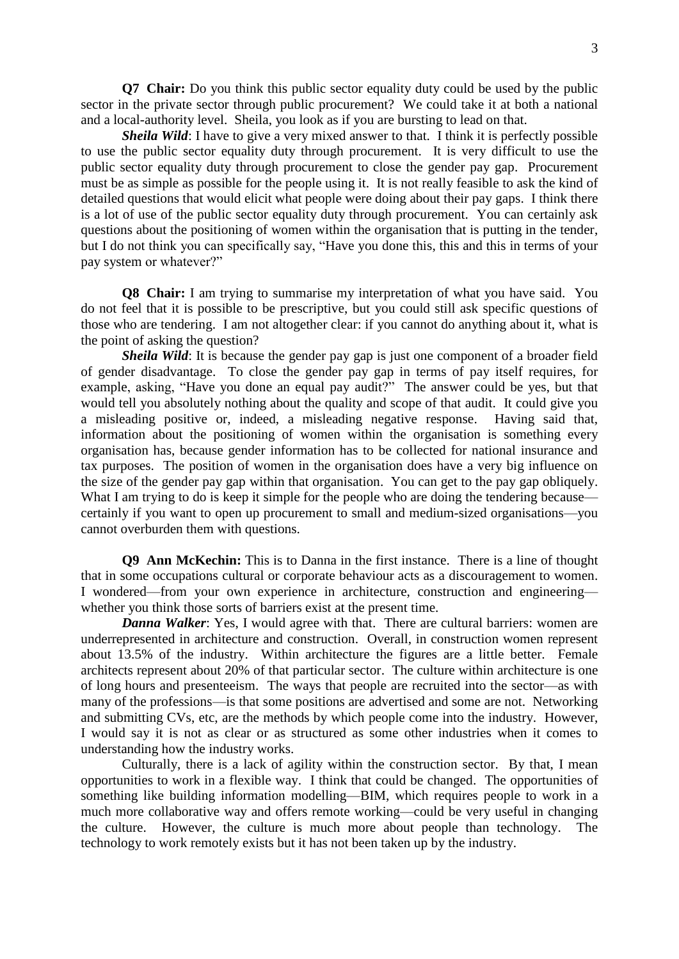**Q7 Chair:** Do you think this public sector equality duty could be used by the public sector in the private sector through public procurement? We could take it at both a national and a local-authority level. Sheila, you look as if you are bursting to lead on that.

*Sheila Wild*: I have to give a very mixed answer to that. I think it is perfectly possible to use the public sector equality duty through procurement. It is very difficult to use the public sector equality duty through procurement to close the gender pay gap. Procurement must be as simple as possible for the people using it. It is not really feasible to ask the kind of detailed questions that would elicit what people were doing about their pay gaps. I think there is a lot of use of the public sector equality duty through procurement. You can certainly ask questions about the positioning of women within the organisation that is putting in the tender, but I do not think you can specifically say, "Have you done this, this and this in terms of your pay system or whatever?"

**Q8 Chair:** I am trying to summarise my interpretation of what you have said. You do not feel that it is possible to be prescriptive, but you could still ask specific questions of those who are tendering. I am not altogether clear: if you cannot do anything about it, what is the point of asking the question?

*Sheila Wild*: It is because the gender pay gap is just one component of a broader field of gender disadvantage. To close the gender pay gap in terms of pay itself requires, for example, asking, "Have you done an equal pay audit?" The answer could be yes, but that would tell you absolutely nothing about the quality and scope of that audit. It could give you a misleading positive or, indeed, a misleading negative response. Having said that, information about the positioning of women within the organisation is something every organisation has, because gender information has to be collected for national insurance and tax purposes. The position of women in the organisation does have a very big influence on the size of the gender pay gap within that organisation. You can get to the pay gap obliquely. What I am trying to do is keep it simple for the people who are doing the tendering because certainly if you want to open up procurement to small and medium-sized organisations—you cannot overburden them with questions.

**Q9 Ann McKechin:** This is to Danna in the first instance. There is a line of thought that in some occupations cultural or corporate behaviour acts as a discouragement to women. I wondered—from your own experience in architecture, construction and engineering whether you think those sorts of barriers exist at the present time.

*Danna Walker*: Yes, I would agree with that. There are cultural barriers: women are underrepresented in architecture and construction. Overall, in construction women represent about 13.5% of the industry. Within architecture the figures are a little better. Female architects represent about 20% of that particular sector. The culture within architecture is one of long hours and presenteeism. The ways that people are recruited into the sector—as with many of the professions—is that some positions are advertised and some are not. Networking and submitting CVs, etc, are the methods by which people come into the industry. However, I would say it is not as clear or as structured as some other industries when it comes to understanding how the industry works.

Culturally, there is a lack of agility within the construction sector. By that, I mean opportunities to work in a flexible way. I think that could be changed. The opportunities of something like building information modelling—BIM, which requires people to work in a much more collaborative way and offers remote working—could be very useful in changing the culture. However, the culture is much more about people than technology. The technology to work remotely exists but it has not been taken up by the industry.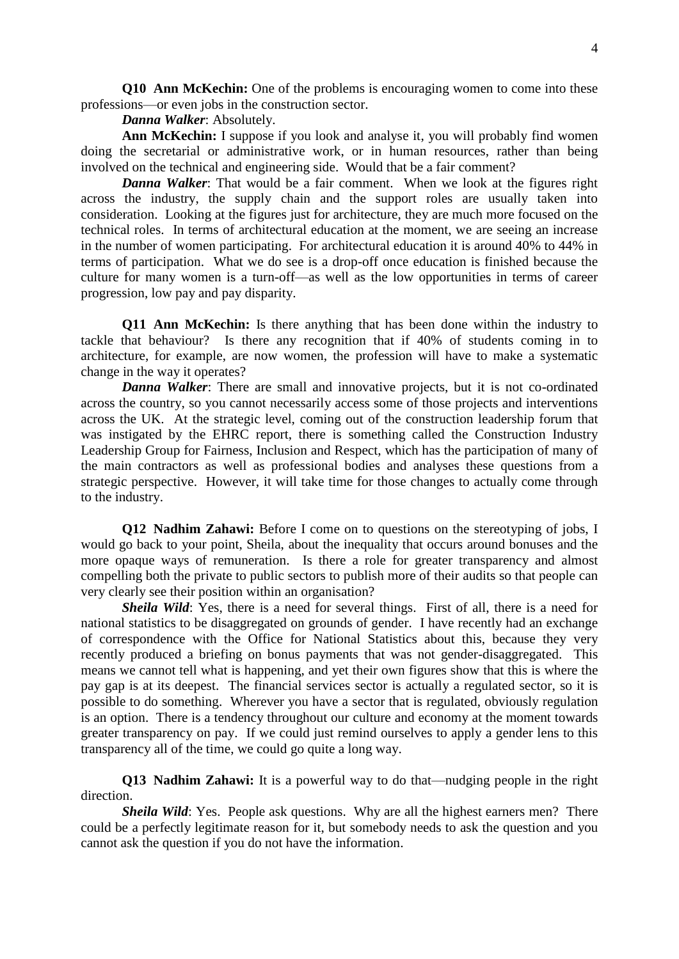**Q10 Ann McKechin:** One of the problems is encouraging women to come into these professions—or even jobs in the construction sector.

### *Danna Walker*: Absolutely.

**Ann McKechin:** I suppose if you look and analyse it, you will probably find women doing the secretarial or administrative work, or in human resources, rather than being involved on the technical and engineering side. Would that be a fair comment?

*Danna Walker*: That would be a fair comment. When we look at the figures right across the industry, the supply chain and the support roles are usually taken into consideration. Looking at the figures just for architecture, they are much more focused on the technical roles. In terms of architectural education at the moment, we are seeing an increase in the number of women participating. For architectural education it is around 40% to 44% in terms of participation. What we do see is a drop-off once education is finished because the culture for many women is a turn-off—as well as the low opportunities in terms of career progression, low pay and pay disparity.

**Q11 Ann McKechin:** Is there anything that has been done within the industry to tackle that behaviour? Is there any recognition that if 40% of students coming in to architecture, for example, are now women, the profession will have to make a systematic change in the way it operates?

*Danna Walker*: There are small and innovative projects, but it is not co-ordinated across the country, so you cannot necessarily access some of those projects and interventions across the UK. At the strategic level, coming out of the construction leadership forum that was instigated by the EHRC report, there is something called the Construction Industry Leadership Group for Fairness, Inclusion and Respect, which has the participation of many of the main contractors as well as professional bodies and analyses these questions from a strategic perspective. However, it will take time for those changes to actually come through to the industry.

**Q12 Nadhim Zahawi:** Before I come on to questions on the stereotyping of jobs, I would go back to your point, Sheila, about the inequality that occurs around bonuses and the more opaque ways of remuneration. Is there a role for greater transparency and almost compelling both the private to public sectors to publish more of their audits so that people can very clearly see their position within an organisation?

*Sheila Wild*: Yes, there is a need for several things. First of all, there is a need for national statistics to be disaggregated on grounds of gender. I have recently had an exchange of correspondence with the Office for National Statistics about this, because they very recently produced a briefing on bonus payments that was not gender-disaggregated. This means we cannot tell what is happening, and yet their own figures show that this is where the pay gap is at its deepest. The financial services sector is actually a regulated sector, so it is possible to do something. Wherever you have a sector that is regulated, obviously regulation is an option. There is a tendency throughout our culture and economy at the moment towards greater transparency on pay. If we could just remind ourselves to apply a gender lens to this transparency all of the time, we could go quite a long way.

**Q13 Nadhim Zahawi:** It is a powerful way to do that—nudging people in the right direction.

*Sheila Wild*: Yes. People ask questions. Why are all the highest earners men? There could be a perfectly legitimate reason for it, but somebody needs to ask the question and you cannot ask the question if you do not have the information.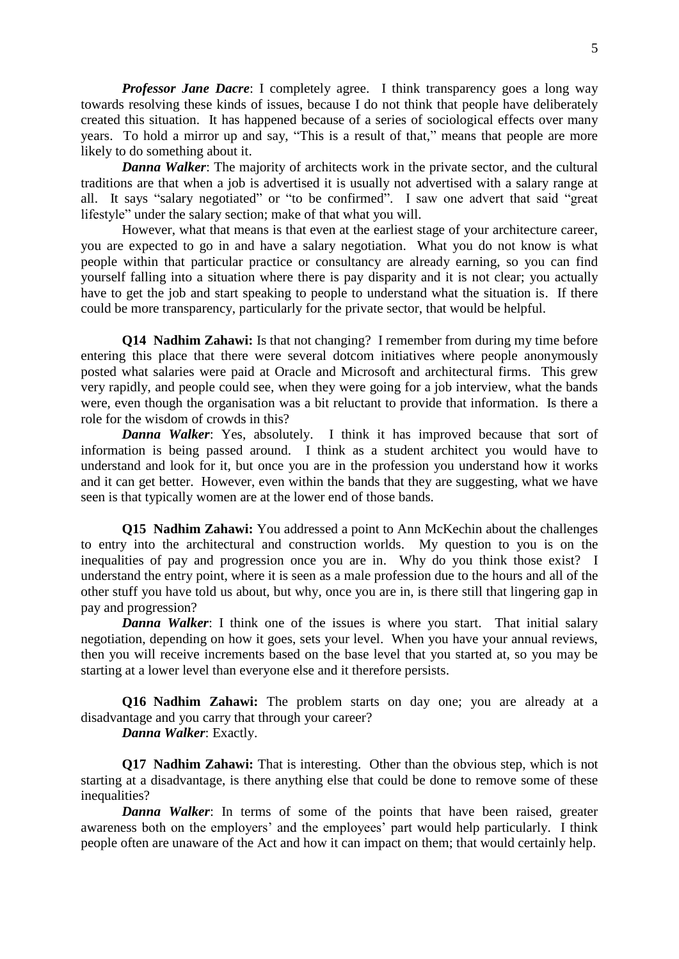*Professor Jane Dacre*: I completely agree. I think transparency goes a long way towards resolving these kinds of issues, because I do not think that people have deliberately created this situation. It has happened because of a series of sociological effects over many years. To hold a mirror up and say, "This is a result of that," means that people are more likely to do something about it.

*Danna Walker*: The majority of architects work in the private sector, and the cultural traditions are that when a job is advertised it is usually not advertised with a salary range at all. It says "salary negotiated" or "to be confirmed". I saw one advert that said "great lifestyle" under the salary section; make of that what you will.

However, what that means is that even at the earliest stage of your architecture career, you are expected to go in and have a salary negotiation. What you do not know is what people within that particular practice or consultancy are already earning, so you can find yourself falling into a situation where there is pay disparity and it is not clear; you actually have to get the job and start speaking to people to understand what the situation is. If there could be more transparency, particularly for the private sector, that would be helpful.

**Q14 Nadhim Zahawi:** Is that not changing? I remember from during my time before entering this place that there were several dotcom initiatives where people anonymously posted what salaries were paid at Oracle and Microsoft and architectural firms. This grew very rapidly, and people could see, when they were going for a job interview, what the bands were, even though the organisation was a bit reluctant to provide that information. Is there a role for the wisdom of crowds in this?

*Danna Walker*: Yes, absolutely. I think it has improved because that sort of information is being passed around. I think as a student architect you would have to understand and look for it, but once you are in the profession you understand how it works and it can get better. However, even within the bands that they are suggesting, what we have seen is that typically women are at the lower end of those bands.

**Q15 Nadhim Zahawi:** You addressed a point to Ann McKechin about the challenges to entry into the architectural and construction worlds. My question to you is on the inequalities of pay and progression once you are in. Why do you think those exist? I understand the entry point, where it is seen as a male profession due to the hours and all of the other stuff you have told us about, but why, once you are in, is there still that lingering gap in pay and progression?

*Danna Walker*: I think one of the issues is where you start. That initial salary negotiation, depending on how it goes, sets your level. When you have your annual reviews, then you will receive increments based on the base level that you started at, so you may be starting at a lower level than everyone else and it therefore persists.

**Q16 Nadhim Zahawi:** The problem starts on day one; you are already at a disadvantage and you carry that through your career?

*Danna Walker*: Exactly.

**Q17 Nadhim Zahawi:** That is interesting. Other than the obvious step, which is not starting at a disadvantage, is there anything else that could be done to remove some of these inequalities?

*Danna Walker*: In terms of some of the points that have been raised, greater awareness both on the employers' and the employees' part would help particularly. I think people often are unaware of the Act and how it can impact on them; that would certainly help.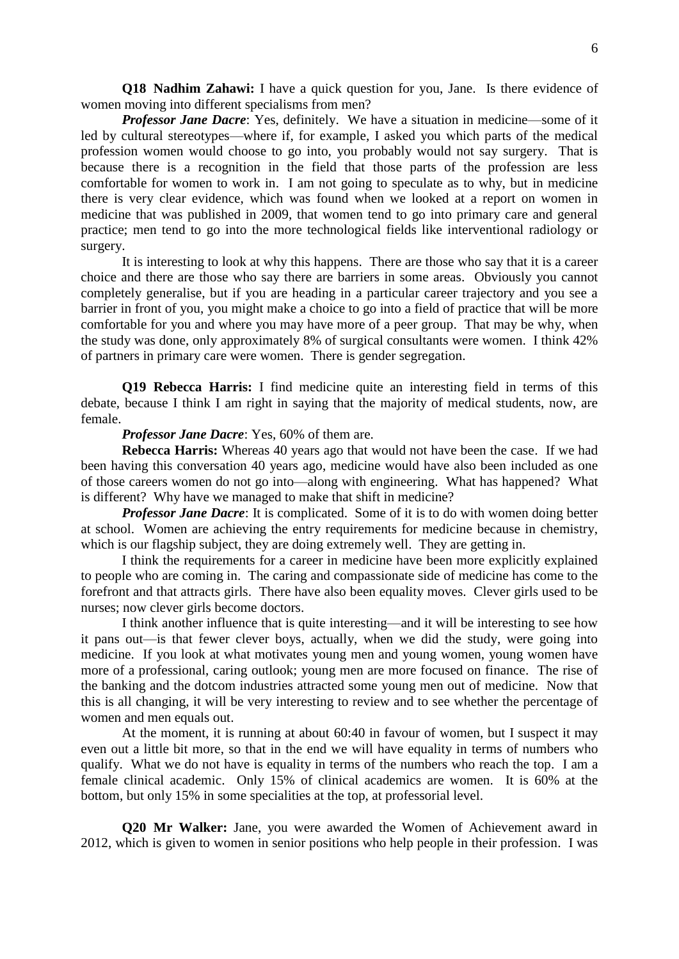**Q18 Nadhim Zahawi:** I have a quick question for you, Jane. Is there evidence of women moving into different specialisms from men?

*Professor Jane Dacre:* Yes, definitely. We have a situation in medicine—some of it led by cultural stereotypes—where if, for example, I asked you which parts of the medical profession women would choose to go into, you probably would not say surgery. That is because there is a recognition in the field that those parts of the profession are less comfortable for women to work in. I am not going to speculate as to why, but in medicine there is very clear evidence, which was found when we looked at a report on women in medicine that was published in 2009, that women tend to go into primary care and general practice; men tend to go into the more technological fields like interventional radiology or surgery.

It is interesting to look at why this happens. There are those who say that it is a career choice and there are those who say there are barriers in some areas. Obviously you cannot completely generalise, but if you are heading in a particular career trajectory and you see a barrier in front of you, you might make a choice to go into a field of practice that will be more comfortable for you and where you may have more of a peer group. That may be why, when the study was done, only approximately 8% of surgical consultants were women. I think 42% of partners in primary care were women. There is gender segregation.

**Q19 Rebecca Harris:** I find medicine quite an interesting field in terms of this debate, because I think I am right in saying that the majority of medical students, now, are female.

*Professor Jane Dacre*: Yes, 60% of them are.

**Rebecca Harris:** Whereas 40 years ago that would not have been the case. If we had been having this conversation 40 years ago, medicine would have also been included as one of those careers women do not go into—along with engineering. What has happened? What is different? Why have we managed to make that shift in medicine?

*Professor Jane Dacre:* It is complicated. Some of it is to do with women doing better at school. Women are achieving the entry requirements for medicine because in chemistry, which is our flagship subject, they are doing extremely well. They are getting in.

I think the requirements for a career in medicine have been more explicitly explained to people who are coming in. The caring and compassionate side of medicine has come to the forefront and that attracts girls. There have also been equality moves. Clever girls used to be nurses; now clever girls become doctors.

I think another influence that is quite interesting—and it will be interesting to see how it pans out—is that fewer clever boys, actually, when we did the study, were going into medicine. If you look at what motivates young men and young women, young women have more of a professional, caring outlook; young men are more focused on finance. The rise of the banking and the dotcom industries attracted some young men out of medicine. Now that this is all changing, it will be very interesting to review and to see whether the percentage of women and men equals out.

At the moment, it is running at about 60:40 in favour of women, but I suspect it may even out a little bit more, so that in the end we will have equality in terms of numbers who qualify. What we do not have is equality in terms of the numbers who reach the top. I am a female clinical academic. Only 15% of clinical academics are women. It is 60% at the bottom, but only 15% in some specialities at the top, at professorial level.

**Q20 Mr Walker:** Jane, you were awarded the Women of Achievement award in 2012, which is given to women in senior positions who help people in their profession. I was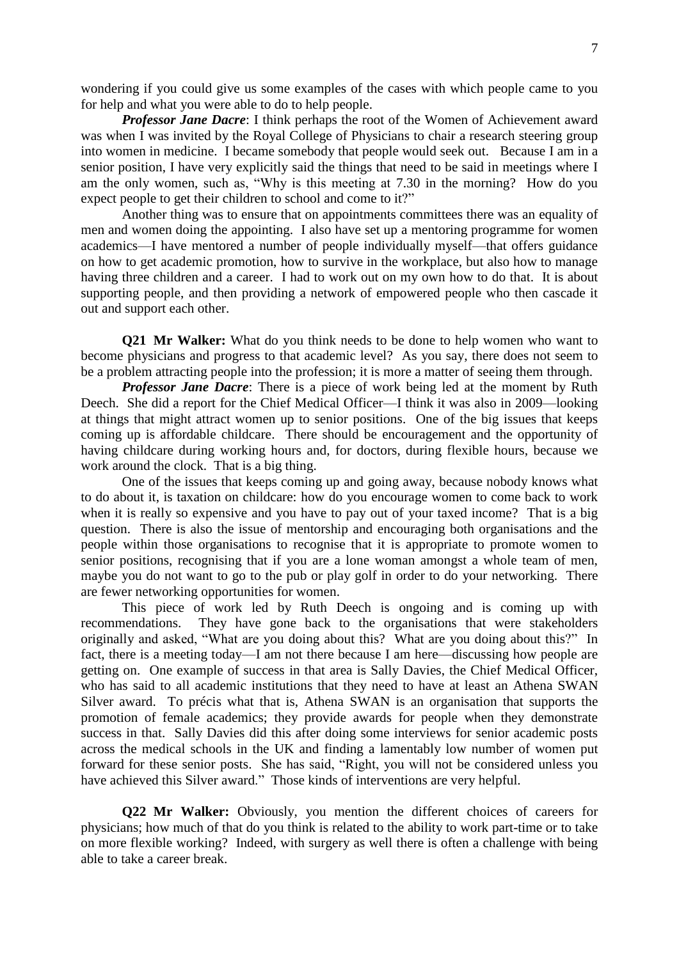wondering if you could give us some examples of the cases with which people came to you for help and what you were able to do to help people.

*Professor Jane Dacre*: I think perhaps the root of the Women of Achievement award was when I was invited by the Royal College of Physicians to chair a research steering group into women in medicine. I became somebody that people would seek out. Because I am in a senior position, I have very explicitly said the things that need to be said in meetings where I am the only women, such as, "Why is this meeting at 7.30 in the morning? How do you expect people to get their children to school and come to it?"

Another thing was to ensure that on appointments committees there was an equality of men and women doing the appointing. I also have set up a mentoring programme for women academics—I have mentored a number of people individually myself—that offers guidance on how to get academic promotion, how to survive in the workplace, but also how to manage having three children and a career. I had to work out on my own how to do that. It is about supporting people, and then providing a network of empowered people who then cascade it out and support each other.

**Q21 Mr Walker:** What do you think needs to be done to help women who want to become physicians and progress to that academic level? As you say, there does not seem to be a problem attracting people into the profession; it is more a matter of seeing them through.

*Professor Jane Dacre*: There is a piece of work being led at the moment by Ruth Deech. She did a report for the Chief Medical Officer—I think it was also in 2009—looking at things that might attract women up to senior positions. One of the big issues that keeps coming up is affordable childcare. There should be encouragement and the opportunity of having childcare during working hours and, for doctors, during flexible hours, because we work around the clock. That is a big thing.

One of the issues that keeps coming up and going away, because nobody knows what to do about it, is taxation on childcare: how do you encourage women to come back to work when it is really so expensive and you have to pay out of your taxed income? That is a big question. There is also the issue of mentorship and encouraging both organisations and the people within those organisations to recognise that it is appropriate to promote women to senior positions, recognising that if you are a lone woman amongst a whole team of men, maybe you do not want to go to the pub or play golf in order to do your networking. There are fewer networking opportunities for women.

This piece of work led by Ruth Deech is ongoing and is coming up with recommendations. They have gone back to the organisations that were stakeholders originally and asked, "What are you doing about this? What are you doing about this?" In fact, there is a meeting today—I am not there because I am here—discussing how people are getting on. One example of success in that area is Sally Davies, the Chief Medical Officer, who has said to all academic institutions that they need to have at least an Athena SWAN Silver award. To précis what that is, Athena SWAN is an organisation that supports the promotion of female academics; they provide awards for people when they demonstrate success in that. Sally Davies did this after doing some interviews for senior academic posts across the medical schools in the UK and finding a lamentably low number of women put forward for these senior posts. She has said, "Right, you will not be considered unless you have achieved this Silver award." Those kinds of interventions are very helpful.

**Q22 Mr Walker:** Obviously, you mention the different choices of careers for physicians; how much of that do you think is related to the ability to work part-time or to take on more flexible working? Indeed, with surgery as well there is often a challenge with being able to take a career break.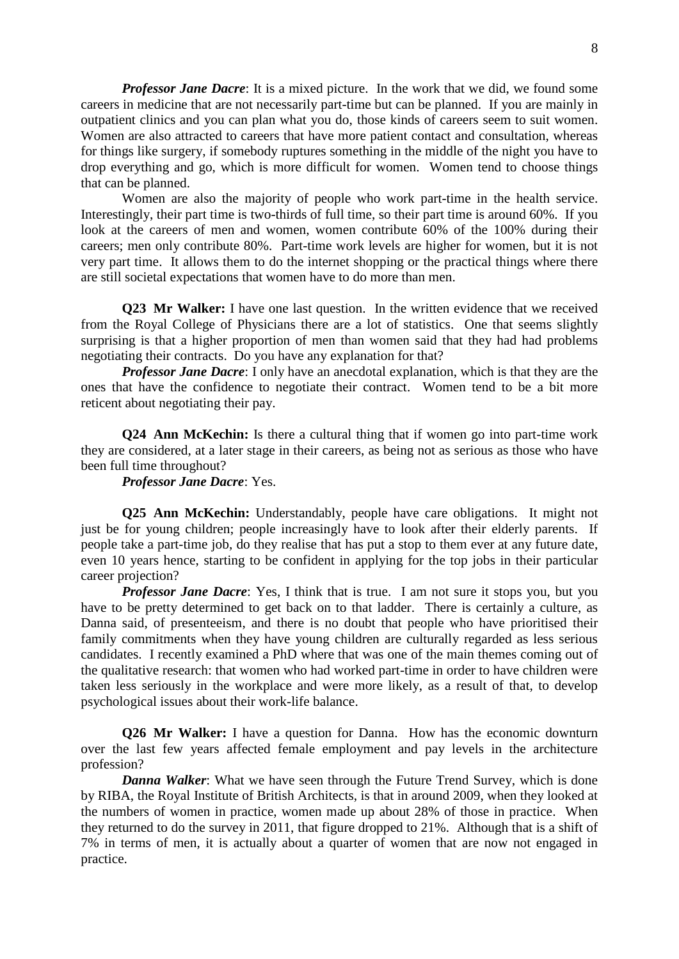*Professor Jane Dacre*: It is a mixed picture. In the work that we did, we found some careers in medicine that are not necessarily part-time but can be planned. If you are mainly in outpatient clinics and you can plan what you do, those kinds of careers seem to suit women. Women are also attracted to careers that have more patient contact and consultation, whereas for things like surgery, if somebody ruptures something in the middle of the night you have to drop everything and go, which is more difficult for women. Women tend to choose things that can be planned.

Women are also the majority of people who work part-time in the health service. Interestingly, their part time is two-thirds of full time, so their part time is around 60%. If you look at the careers of men and women, women contribute 60% of the 100% during their careers; men only contribute 80%. Part-time work levels are higher for women, but it is not very part time. It allows them to do the internet shopping or the practical things where there are still societal expectations that women have to do more than men.

**Q23 Mr Walker:** I have one last question. In the written evidence that we received from the Royal College of Physicians there are a lot of statistics. One that seems slightly surprising is that a higher proportion of men than women said that they had had problems negotiating their contracts. Do you have any explanation for that?

*Professor Jane Dacre*: I only have an anecdotal explanation, which is that they are the ones that have the confidence to negotiate their contract. Women tend to be a bit more reticent about negotiating their pay.

**Q24 Ann McKechin:** Is there a cultural thing that if women go into part-time work they are considered, at a later stage in their careers, as being not as serious as those who have been full time throughout?

*Professor Jane Dacre*: Yes.

**Q25 Ann McKechin:** Understandably, people have care obligations. It might not just be for young children; people increasingly have to look after their elderly parents. If people take a part-time job, do they realise that has put a stop to them ever at any future date, even 10 years hence, starting to be confident in applying for the top jobs in their particular career projection?

*Professor Jane Dacre*: Yes, I think that is true. I am not sure it stops you, but you have to be pretty determined to get back on to that ladder. There is certainly a culture, as Danna said, of presenteeism, and there is no doubt that people who have prioritised their family commitments when they have young children are culturally regarded as less serious candidates. I recently examined a PhD where that was one of the main themes coming out of the qualitative research: that women who had worked part-time in order to have children were taken less seriously in the workplace and were more likely, as a result of that, to develop psychological issues about their work-life balance.

**Q26 Mr Walker:** I have a question for Danna. How has the economic downturn over the last few years affected female employment and pay levels in the architecture profession?

*Danna Walker*: What we have seen through the Future Trend Survey, which is done by RIBA, the Royal Institute of British Architects, is that in around 2009, when they looked at the numbers of women in practice, women made up about 28% of those in practice. When they returned to do the survey in 2011, that figure dropped to 21%. Although that is a shift of 7% in terms of men, it is actually about a quarter of women that are now not engaged in practice.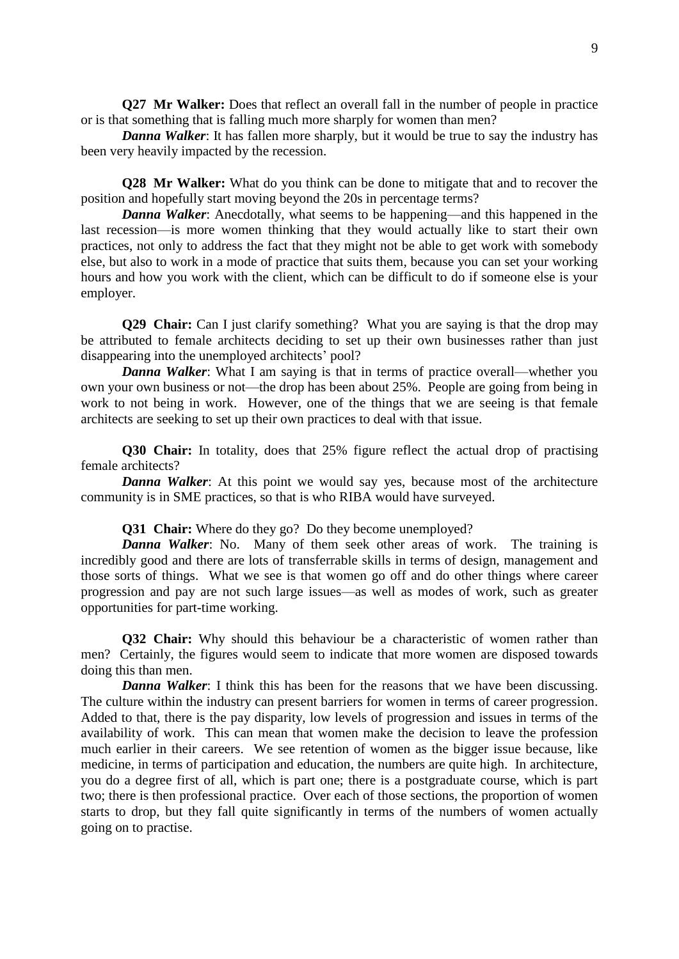**Q27** Mr Walker: Does that reflect an overall fall in the number of people in practice or is that something that is falling much more sharply for women than men?

*Danna Walker*: It has fallen more sharply, but it would be true to say the industry has been very heavily impacted by the recession.

**Q28 Mr Walker:** What do you think can be done to mitigate that and to recover the position and hopefully start moving beyond the 20s in percentage terms?

*Danna Walker:* Anecdotally, what seems to be happening—and this happened in the last recession—is more women thinking that they would actually like to start their own practices, not only to address the fact that they might not be able to get work with somebody else, but also to work in a mode of practice that suits them, because you can set your working hours and how you work with the client, which can be difficult to do if someone else is your employer.

**Q29 Chair:** Can I just clarify something? What you are saying is that the drop may be attributed to female architects deciding to set up their own businesses rather than just disappearing into the unemployed architects' pool?

*Danna Walker*: What I am saying is that in terms of practice overall—whether you own your own business or not—the drop has been about 25%. People are going from being in work to not being in work. However, one of the things that we are seeing is that female architects are seeking to set up their own practices to deal with that issue.

**Q30 Chair:** In totality, does that 25% figure reflect the actual drop of practising female architects?

*Danna Walker*: At this point we would say yes, because most of the architecture community is in SME practices, so that is who RIBA would have surveyed.

**Q31 Chair:** Where do they go? Do they become unemployed?

*Danna Walker*: No. Many of them seek other areas of work. The training is incredibly good and there are lots of transferrable skills in terms of design, management and those sorts of things. What we see is that women go off and do other things where career progression and pay are not such large issues—as well as modes of work, such as greater opportunities for part-time working.

**Q32 Chair:** Why should this behaviour be a characteristic of women rather than men? Certainly, the figures would seem to indicate that more women are disposed towards doing this than men.

*Danna Walker*: I think this has been for the reasons that we have been discussing. The culture within the industry can present barriers for women in terms of career progression. Added to that, there is the pay disparity, low levels of progression and issues in terms of the availability of work. This can mean that women make the decision to leave the profession much earlier in their careers. We see retention of women as the bigger issue because, like medicine, in terms of participation and education, the numbers are quite high. In architecture, you do a degree first of all, which is part one; there is a postgraduate course, which is part two; there is then professional practice. Over each of those sections, the proportion of women starts to drop, but they fall quite significantly in terms of the numbers of women actually going on to practise.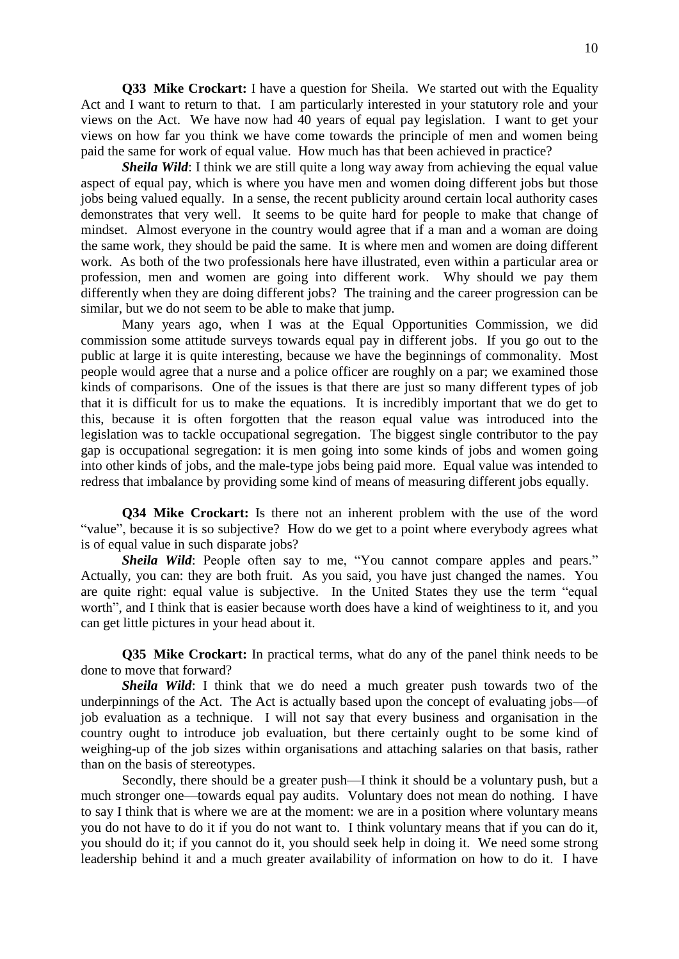**Q33 Mike Crockart:** I have a question for Sheila. We started out with the Equality Act and I want to return to that. I am particularly interested in your statutory role and your views on the Act. We have now had 40 years of equal pay legislation. I want to get your views on how far you think we have come towards the principle of men and women being paid the same for work of equal value. How much has that been achieved in practice?

*Sheila Wild*: I think we are still quite a long way away from achieving the equal value aspect of equal pay, which is where you have men and women doing different jobs but those jobs being valued equally. In a sense, the recent publicity around certain local authority cases demonstrates that very well. It seems to be quite hard for people to make that change of mindset. Almost everyone in the country would agree that if a man and a woman are doing the same work, they should be paid the same. It is where men and women are doing different work. As both of the two professionals here have illustrated, even within a particular area or profession, men and women are going into different work. Why should we pay them differently when they are doing different jobs? The training and the career progression can be similar, but we do not seem to be able to make that jump.

Many years ago, when I was at the Equal Opportunities Commission, we did commission some attitude surveys towards equal pay in different jobs. If you go out to the public at large it is quite interesting, because we have the beginnings of commonality. Most people would agree that a nurse and a police officer are roughly on a par; we examined those kinds of comparisons. One of the issues is that there are just so many different types of job that it is difficult for us to make the equations. It is incredibly important that we do get to this, because it is often forgotten that the reason equal value was introduced into the legislation was to tackle occupational segregation. The biggest single contributor to the pay gap is occupational segregation: it is men going into some kinds of jobs and women going into other kinds of jobs, and the male-type jobs being paid more. Equal value was intended to redress that imbalance by providing some kind of means of measuring different jobs equally.

**Q34 Mike Crockart:** Is there not an inherent problem with the use of the word "value", because it is so subjective? How do we get to a point where everybody agrees what is of equal value in such disparate jobs?

*Sheila Wild*: People often say to me, "You cannot compare apples and pears." Actually, you can: they are both fruit. As you said, you have just changed the names. You are quite right: equal value is subjective. In the United States they use the term "equal worth", and I think that is easier because worth does have a kind of weightiness to it, and you can get little pictures in your head about it.

**Q35 Mike Crockart:** In practical terms, what do any of the panel think needs to be done to move that forward?

*Sheila Wild*: I think that we do need a much greater push towards two of the underpinnings of the Act. The Act is actually based upon the concept of evaluating jobs—of job evaluation as a technique. I will not say that every business and organisation in the country ought to introduce job evaluation, but there certainly ought to be some kind of weighing-up of the job sizes within organisations and attaching salaries on that basis, rather than on the basis of stereotypes.

Secondly, there should be a greater push—I think it should be a voluntary push, but a much stronger one—towards equal pay audits. Voluntary does not mean do nothing. I have to say I think that is where we are at the moment: we are in a position where voluntary means you do not have to do it if you do not want to. I think voluntary means that if you can do it, you should do it; if you cannot do it, you should seek help in doing it. We need some strong leadership behind it and a much greater availability of information on how to do it. I have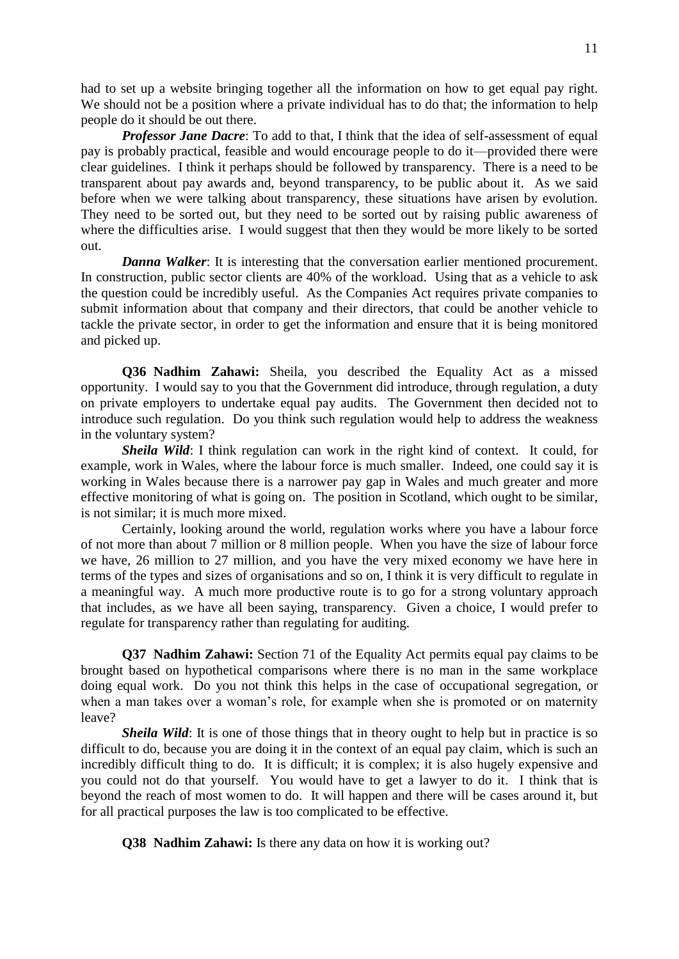had to set up a website bringing together all the information on how to get equal pay right. We should not be a position where a private individual has to do that; the information to help people do it should be out there.

*Professor Jane Dacre:* To add to that, I think that the idea of self-assessment of equal pay is probably practical, feasible and would encourage people to do it—provided there were clear guidelines. I think it perhaps should be followed by transparency. There is a need to be transparent about pay awards and, beyond transparency, to be public about it. As we said before when we were talking about transparency, these situations have arisen by evolution. They need to be sorted out, but they need to be sorted out by raising public awareness of where the difficulties arise. I would suggest that then they would be more likely to be sorted out.

*Danna Walker*: It is interesting that the conversation earlier mentioned procurement. In construction, public sector clients are 40% of the workload. Using that as a vehicle to ask the question could be incredibly useful. As the Companies Act requires private companies to submit information about that company and their directors, that could be another vehicle to tackle the private sector, in order to get the information and ensure that it is being monitored and picked up.

**Q36 Nadhim Zahawi:** Sheila, you described the Equality Act as a missed opportunity. I would say to you that the Government did introduce, through regulation, a duty on private employers to undertake equal pay audits. The Government then decided not to introduce such regulation. Do you think such regulation would help to address the weakness in the voluntary system?

*Sheila Wild*: I think regulation can work in the right kind of context. It could, for example, work in Wales, where the labour force is much smaller. Indeed, one could say it is working in Wales because there is a narrower pay gap in Wales and much greater and more effective monitoring of what is going on. The position in Scotland, which ought to be similar, is not similar; it is much more mixed.

Certainly, looking around the world, regulation works where you have a labour force of not more than about 7 million or 8 million people. When you have the size of labour force we have, 26 million to 27 million, and you have the very mixed economy we have here in terms of the types and sizes of organisations and so on, I think it is very difficult to regulate in a meaningful way. A much more productive route is to go for a strong voluntary approach that includes, as we have all been saying, transparency. Given a choice, I would prefer to regulate for transparency rather than regulating for auditing.

**Q37 Nadhim Zahawi:** Section 71 of the Equality Act permits equal pay claims to be brought based on hypothetical comparisons where there is no man in the same workplace doing equal work. Do you not think this helps in the case of occupational segregation, or when a man takes over a woman's role, for example when she is promoted or on maternity leave?

*Sheila Wild*: It is one of those things that in theory ought to help but in practice is so difficult to do, because you are doing it in the context of an equal pay claim, which is such an incredibly difficult thing to do. It is difficult; it is complex; it is also hugely expensive and you could not do that yourself. You would have to get a lawyer to do it. I think that is beyond the reach of most women to do. It will happen and there will be cases around it, but for all practical purposes the law is too complicated to be effective.

**Q38 Nadhim Zahawi:** Is there any data on how it is working out?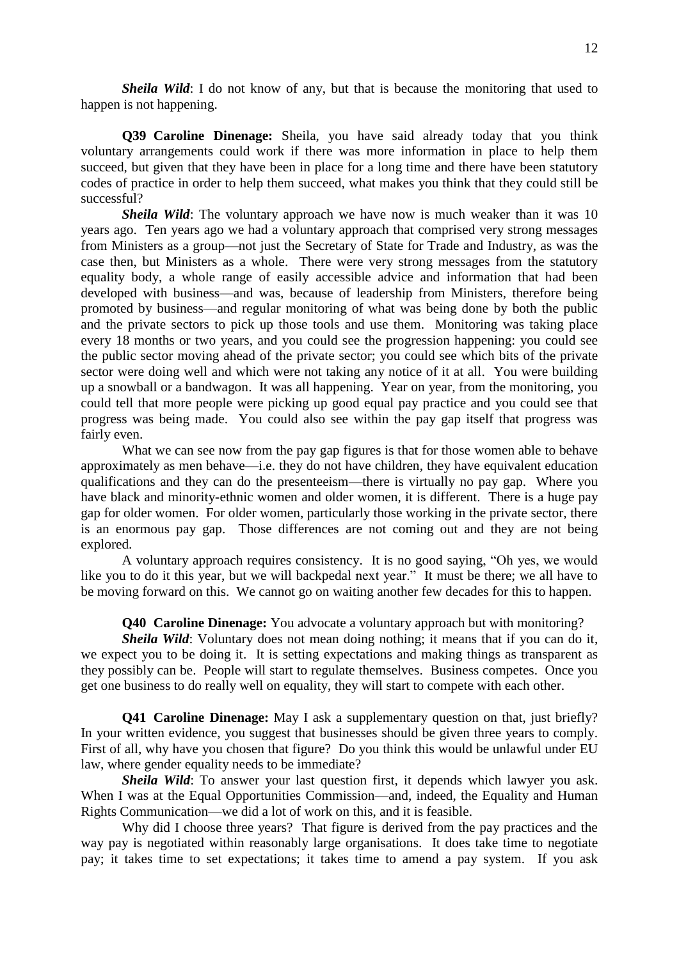*Sheila Wild*: I do not know of any, but that is because the monitoring that used to happen is not happening.

**Q39 Caroline Dinenage:** Sheila, you have said already today that you think voluntary arrangements could work if there was more information in place to help them succeed, but given that they have been in place for a long time and there have been statutory codes of practice in order to help them succeed, what makes you think that they could still be successful?

**Sheila Wild:** The voluntary approach we have now is much weaker than it was 10 years ago. Ten years ago we had a voluntary approach that comprised very strong messages from Ministers as a group—not just the Secretary of State for Trade and Industry, as was the case then, but Ministers as a whole. There were very strong messages from the statutory equality body, a whole range of easily accessible advice and information that had been developed with business—and was, because of leadership from Ministers, therefore being promoted by business—and regular monitoring of what was being done by both the public and the private sectors to pick up those tools and use them. Monitoring was taking place every 18 months or two years, and you could see the progression happening: you could see the public sector moving ahead of the private sector; you could see which bits of the private sector were doing well and which were not taking any notice of it at all. You were building up a snowball or a bandwagon. It was all happening. Year on year, from the monitoring, you could tell that more people were picking up good equal pay practice and you could see that progress was being made. You could also see within the pay gap itself that progress was fairly even.

What we can see now from the pay gap figures is that for those women able to behave approximately as men behave—i.e. they do not have children, they have equivalent education qualifications and they can do the presenteeism—there is virtually no pay gap. Where you have black and minority-ethnic women and older women, it is different. There is a huge pay gap for older women. For older women, particularly those working in the private sector, there is an enormous pay gap. Those differences are not coming out and they are not being explored.

A voluntary approach requires consistency. It is no good saying, "Oh yes, we would like you to do it this year, but we will backpedal next year." It must be there; we all have to be moving forward on this. We cannot go on waiting another few decades for this to happen.

**Q40 Caroline Dinenage:** You advocate a voluntary approach but with monitoring?

*Sheila Wild*: Voluntary does not mean doing nothing; it means that if you can do it, we expect you to be doing it. It is setting expectations and making things as transparent as they possibly can be. People will start to regulate themselves. Business competes. Once you get one business to do really well on equality, they will start to compete with each other.

**Q41 Caroline Dinenage:** May I ask a supplementary question on that, just briefly? In your written evidence, you suggest that businesses should be given three years to comply. First of all, why have you chosen that figure? Do you think this would be unlawful under EU law, where gender equality needs to be immediate?

*Sheila Wild*: To answer your last question first, it depends which lawyer you ask. When I was at the Equal Opportunities Commission—and, indeed, the Equality and Human Rights Communication—we did a lot of work on this, and it is feasible.

Why did I choose three years? That figure is derived from the pay practices and the way pay is negotiated within reasonably large organisations. It does take time to negotiate pay; it takes time to set expectations; it takes time to amend a pay system. If you ask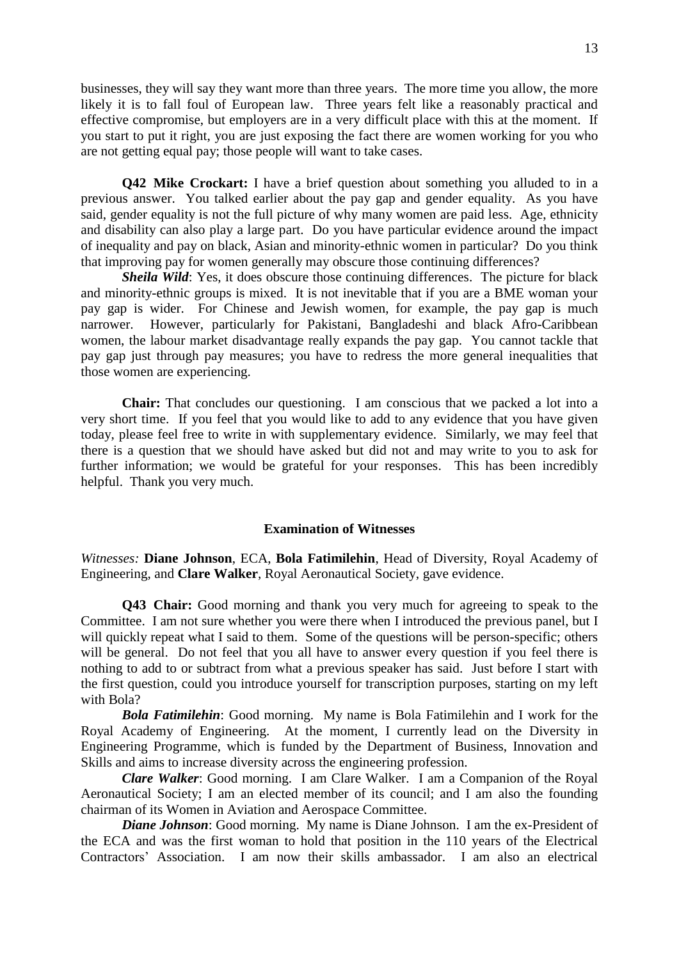businesses, they will say they want more than three years. The more time you allow, the more likely it is to fall foul of European law. Three years felt like a reasonably practical and effective compromise, but employers are in a very difficult place with this at the moment. If you start to put it right, you are just exposing the fact there are women working for you who are not getting equal pay; those people will want to take cases.

**Q42 Mike Crockart:** I have a brief question about something you alluded to in a previous answer. You talked earlier about the pay gap and gender equality. As you have said, gender equality is not the full picture of why many women are paid less. Age, ethnicity and disability can also play a large part. Do you have particular evidence around the impact of inequality and pay on black, Asian and minority-ethnic women in particular? Do you think that improving pay for women generally may obscure those continuing differences?

*Sheila Wild*: Yes, it does obscure those continuing differences. The picture for black and minority-ethnic groups is mixed. It is not inevitable that if you are a BME woman your pay gap is wider. For Chinese and Jewish women, for example, the pay gap is much narrower. However, particularly for Pakistani, Bangladeshi and black Afro-Caribbean women, the labour market disadvantage really expands the pay gap. You cannot tackle that pay gap just through pay measures; you have to redress the more general inequalities that those women are experiencing.

**Chair:** That concludes our questioning. I am conscious that we packed a lot into a very short time. If you feel that you would like to add to any evidence that you have given today, please feel free to write in with supplementary evidence. Similarly, we may feel that there is a question that we should have asked but did not and may write to you to ask for further information; we would be grateful for your responses. This has been incredibly helpful. Thank you very much.

#### **Examination of Witnesses**

*Witnesses:* **Diane Johnson**, ECA, **Bola Fatimilehin**, Head of Diversity, Royal Academy of Engineering, and **Clare Walker**, Royal Aeronautical Society, gave evidence.

**Q43 Chair:** Good morning and thank you very much for agreeing to speak to the Committee. I am not sure whether you were there when I introduced the previous panel, but I will quickly repeat what I said to them. Some of the questions will be person-specific; others will be general. Do not feel that you all have to answer every question if you feel there is nothing to add to or subtract from what a previous speaker has said. Just before I start with the first question, could you introduce yourself for transcription purposes, starting on my left with Bola?

*Bola Fatimilehin*: Good morning. My name is Bola Fatimilehin and I work for the Royal Academy of Engineering. At the moment, I currently lead on the Diversity in Engineering Programme, which is funded by the Department of Business, Innovation and Skills and aims to increase diversity across the engineering profession.

*Clare Walker*: Good morning. I am Clare Walker. I am a Companion of the Royal Aeronautical Society; I am an elected member of its council; and I am also the founding chairman of its Women in Aviation and Aerospace Committee.

*Diane Johnson*: Good morning. My name is Diane Johnson. I am the ex-President of the ECA and was the first woman to hold that position in the 110 years of the Electrical Contractors' Association. I am now their skills ambassador. I am also an electrical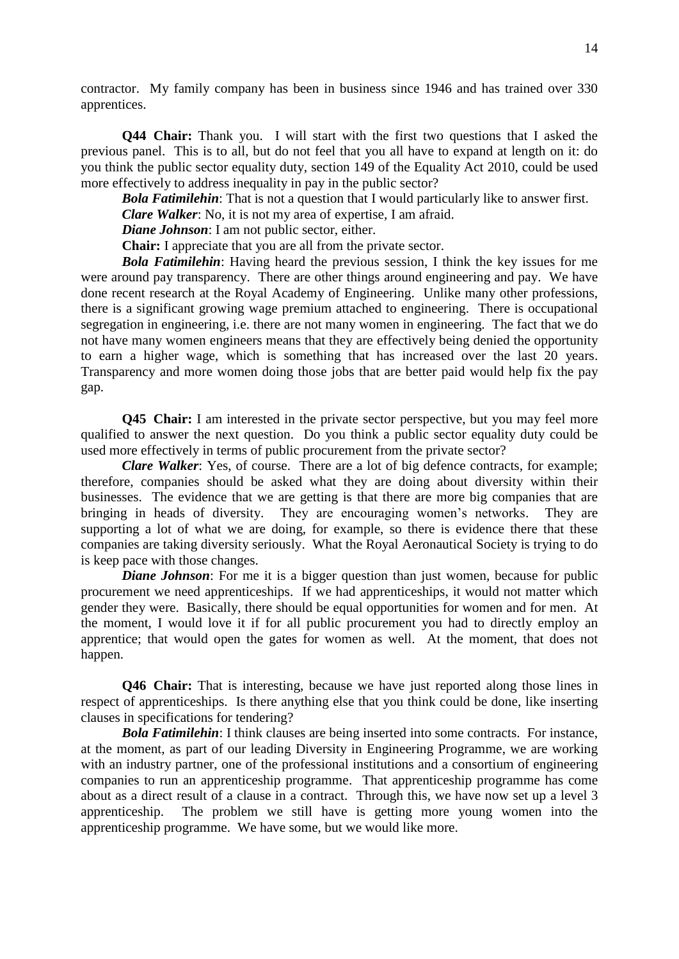contractor. My family company has been in business since 1946 and has trained over 330 apprentices.

**Q44 Chair:** Thank you. I will start with the first two questions that I asked the previous panel. This is to all, but do not feel that you all have to expand at length on it: do you think the public sector equality duty, section 149 of the Equality Act 2010, could be used more effectively to address inequality in pay in the public sector?

*Bola Fatimilehin*: That is not a question that I would particularly like to answer first. *Clare Walker*: No, it is not my area of expertise, I am afraid.

*Diane Johnson*: I am not public sector, either.

**Chair:** I appreciate that you are all from the private sector.

*Bola Fatimilehin*: Having heard the previous session, I think the key issues for me were around pay transparency. There are other things around engineering and pay. We have done recent research at the Royal Academy of Engineering. Unlike many other professions, there is a significant growing wage premium attached to engineering. There is occupational segregation in engineering, i.e. there are not many women in engineering. The fact that we do not have many women engineers means that they are effectively being denied the opportunity to earn a higher wage, which is something that has increased over the last 20 years. Transparency and more women doing those jobs that are better paid would help fix the pay gap.

**Q45 Chair:** I am interested in the private sector perspective, but you may feel more qualified to answer the next question. Do you think a public sector equality duty could be used more effectively in terms of public procurement from the private sector?

*Clare Walker*: Yes, of course. There are a lot of big defence contracts, for example; therefore, companies should be asked what they are doing about diversity within their businesses. The evidence that we are getting is that there are more big companies that are bringing in heads of diversity. They are encouraging women's networks. They are supporting a lot of what we are doing, for example, so there is evidence there that these companies are taking diversity seriously. What the Royal Aeronautical Society is trying to do is keep pace with those changes.

*Diane Johnson*: For me it is a bigger question than just women, because for public procurement we need apprenticeships. If we had apprenticeships, it would not matter which gender they were. Basically, there should be equal opportunities for women and for men. At the moment, I would love it if for all public procurement you had to directly employ an apprentice; that would open the gates for women as well. At the moment, that does not happen.

**Q46 Chair:** That is interesting, because we have just reported along those lines in respect of apprenticeships. Is there anything else that you think could be done, like inserting clauses in specifications for tendering?

*Bola Fatimilehin*: I think clauses are being inserted into some contracts. For instance, at the moment, as part of our leading Diversity in Engineering Programme, we are working with an industry partner, one of the professional institutions and a consortium of engineering companies to run an apprenticeship programme. That apprenticeship programme has come about as a direct result of a clause in a contract. Through this, we have now set up a level 3 apprenticeship. The problem we still have is getting more young women into the apprenticeship programme. We have some, but we would like more.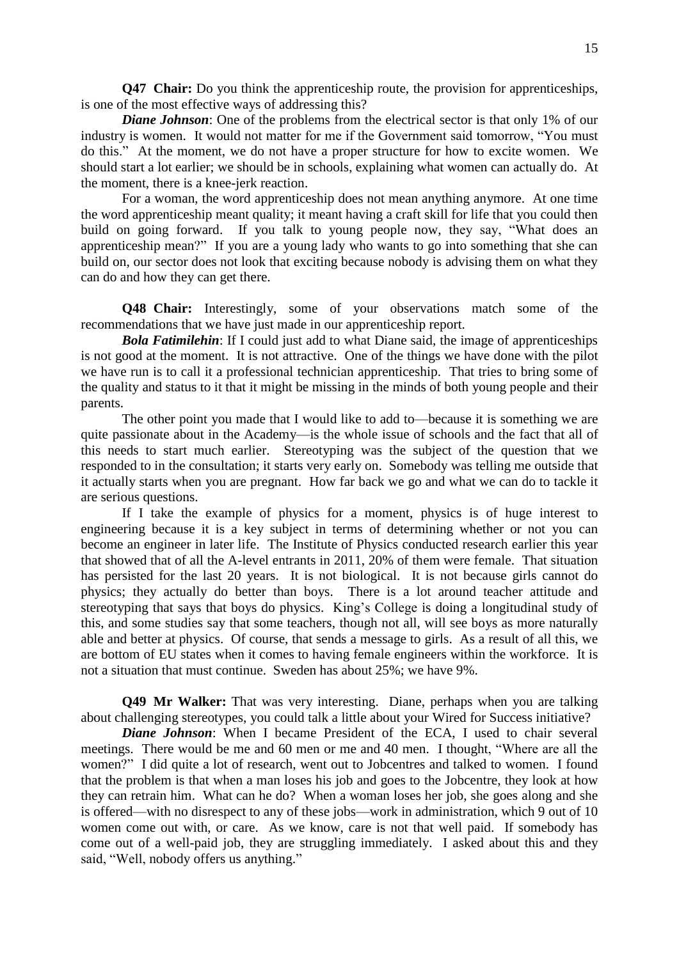**Q47 Chair:** Do you think the apprenticeship route, the provision for apprenticeships, is one of the most effective ways of addressing this?

*Diane Johnson:* One of the problems from the electrical sector is that only 1% of our industry is women. It would not matter for me if the Government said tomorrow, "You must do this." At the moment, we do not have a proper structure for how to excite women. We should start a lot earlier; we should be in schools, explaining what women can actually do. At the moment, there is a knee-jerk reaction.

For a woman, the word apprenticeship does not mean anything anymore. At one time the word apprenticeship meant quality; it meant having a craft skill for life that you could then build on going forward. If you talk to young people now, they say, "What does an apprenticeship mean?" If you are a young lady who wants to go into something that she can build on, our sector does not look that exciting because nobody is advising them on what they can do and how they can get there.

**Q48 Chair:** Interestingly, some of your observations match some of the recommendations that we have just made in our apprenticeship report.

**Bola Fatimilehin:** If I could just add to what Diane said, the image of apprenticeships is not good at the moment. It is not attractive. One of the things we have done with the pilot we have run is to call it a professional technician apprenticeship. That tries to bring some of the quality and status to it that it might be missing in the minds of both young people and their parents.

The other point you made that I would like to add to—because it is something we are quite passionate about in the Academy—is the whole issue of schools and the fact that all of this needs to start much earlier. Stereotyping was the subject of the question that we responded to in the consultation; it starts very early on. Somebody was telling me outside that it actually starts when you are pregnant. How far back we go and what we can do to tackle it are serious questions.

If I take the example of physics for a moment, physics is of huge interest to engineering because it is a key subject in terms of determining whether or not you can become an engineer in later life. The Institute of Physics conducted research earlier this year that showed that of all the A-level entrants in 2011, 20% of them were female. That situation has persisted for the last 20 years. It is not biological. It is not because girls cannot do physics; they actually do better than boys. There is a lot around teacher attitude and stereotyping that says that boys do physics. King's College is doing a longitudinal study of this, and some studies say that some teachers, though not all, will see boys as more naturally able and better at physics. Of course, that sends a message to girls. As a result of all this, we are bottom of EU states when it comes to having female engineers within the workforce. It is not a situation that must continue. Sweden has about 25%; we have 9%.

**Q49 Mr Walker:** That was very interesting. Diane, perhaps when you are talking about challenging stereotypes, you could talk a little about your Wired for Success initiative?

*Diane Johnson*: When I became President of the ECA, I used to chair several meetings. There would be me and 60 men or me and 40 men. I thought, "Where are all the women?" I did quite a lot of research, went out to Jobcentres and talked to women. I found that the problem is that when a man loses his job and goes to the Jobcentre, they look at how they can retrain him. What can he do? When a woman loses her job, she goes along and she is offered—with no disrespect to any of these jobs—work in administration, which 9 out of 10 women come out with, or care. As we know, care is not that well paid. If somebody has come out of a well-paid job, they are struggling immediately. I asked about this and they said, "Well, nobody offers us anything."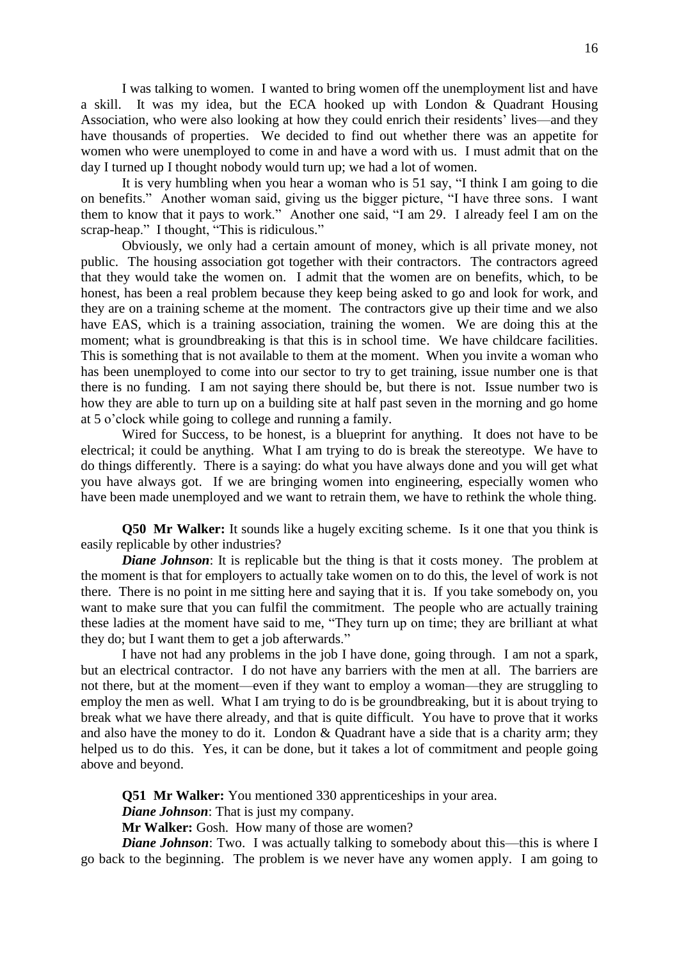I was talking to women. I wanted to bring women off the unemployment list and have a skill. It was my idea, but the ECA hooked up with London & Quadrant Housing Association, who were also looking at how they could enrich their residents' lives—and they have thousands of properties. We decided to find out whether there was an appetite for women who were unemployed to come in and have a word with us. I must admit that on the day I turned up I thought nobody would turn up; we had a lot of women.

It is very humbling when you hear a woman who is 51 say, "I think I am going to die on benefits." Another woman said, giving us the bigger picture, "I have three sons. I want them to know that it pays to work." Another one said, "I am 29. I already feel I am on the scrap-heap." I thought, "This is ridiculous."

Obviously, we only had a certain amount of money, which is all private money, not public. The housing association got together with their contractors. The contractors agreed that they would take the women on. I admit that the women are on benefits, which, to be honest, has been a real problem because they keep being asked to go and look for work, and they are on a training scheme at the moment. The contractors give up their time and we also have EAS, which is a training association, training the women. We are doing this at the moment; what is groundbreaking is that this is in school time. We have childcare facilities. This is something that is not available to them at the moment. When you invite a woman who has been unemployed to come into our sector to try to get training, issue number one is that there is no funding. I am not saying there should be, but there is not. Issue number two is how they are able to turn up on a building site at half past seven in the morning and go home at 5 o'clock while going to college and running a family.

Wired for Success, to be honest, is a blueprint for anything. It does not have to be electrical; it could be anything. What I am trying to do is break the stereotype. We have to do things differently. There is a saying: do what you have always done and you will get what you have always got. If we are bringing women into engineering, especially women who have been made unemployed and we want to retrain them, we have to rethink the whole thing.

**Q50 Mr Walker:** It sounds like a hugely exciting scheme. Is it one that you think is easily replicable by other industries?

*Diane Johnson*: It is replicable but the thing is that it costs money. The problem at the moment is that for employers to actually take women on to do this, the level of work is not there. There is no point in me sitting here and saying that it is. If you take somebody on, you want to make sure that you can fulfil the commitment. The people who are actually training these ladies at the moment have said to me, "They turn up on time; they are brilliant at what they do; but I want them to get a job afterwards."

I have not had any problems in the job I have done, going through. I am not a spark, but an electrical contractor. I do not have any barriers with the men at all. The barriers are not there, but at the moment—even if they want to employ a woman—they are struggling to employ the men as well. What I am trying to do is be groundbreaking, but it is about trying to break what we have there already, and that is quite difficult. You have to prove that it works and also have the money to do it. London & Quadrant have a side that is a charity arm; they helped us to do this. Yes, it can be done, but it takes a lot of commitment and people going above and beyond.

**Q51 Mr Walker:** You mentioned 330 apprenticeships in your area.

*Diane Johnson*: That is just my company.

**Mr Walker:** Gosh. How many of those are women?

*Diane Johnson*: Two. I was actually talking to somebody about this—this is where I go back to the beginning. The problem is we never have any women apply. I am going to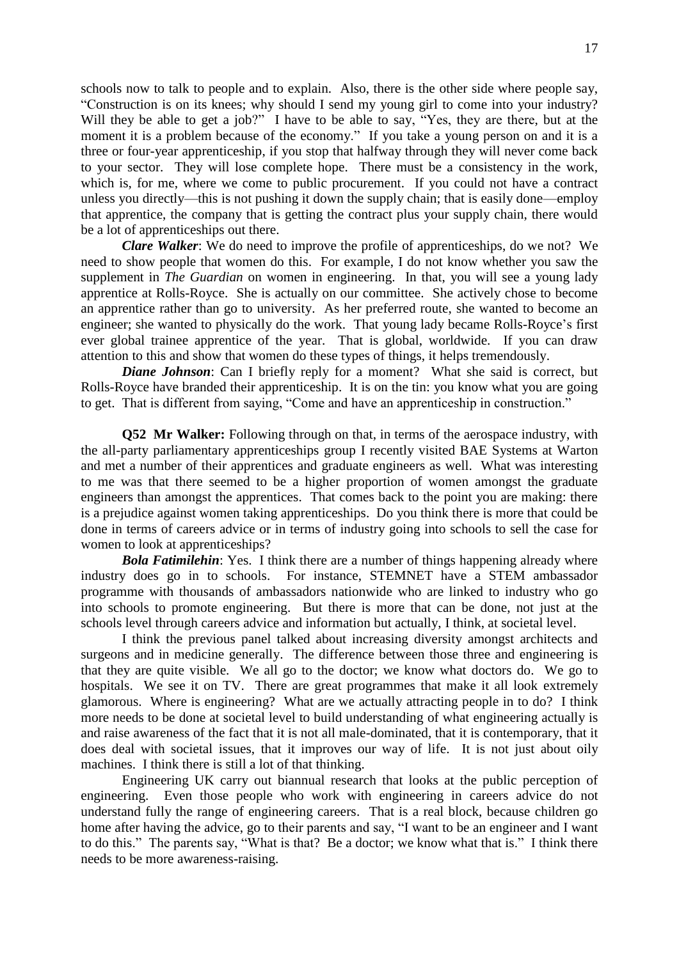schools now to talk to people and to explain. Also, there is the other side where people say, "Construction is on its knees; why should I send my young girl to come into your industry? Will they be able to get a job?" I have to be able to say, "Yes, they are there, but at the moment it is a problem because of the economy." If you take a young person on and it is a three or four-year apprenticeship, if you stop that halfway through they will never come back to your sector. They will lose complete hope. There must be a consistency in the work, which is, for me, where we come to public procurement. If you could not have a contract unless you directly—this is not pushing it down the supply chain; that is easily done—employ that apprentice, the company that is getting the contract plus your supply chain, there would be a lot of apprenticeships out there.

*Clare Walker*: We do need to improve the profile of apprenticeships, do we not? We need to show people that women do this. For example, I do not know whether you saw the supplement in *The Guardian* on women in engineering. In that, you will see a young lady apprentice at Rolls-Royce. She is actually on our committee. She actively chose to become an apprentice rather than go to university. As her preferred route, she wanted to become an engineer; she wanted to physically do the work. That young lady became Rolls-Royce's first ever global trainee apprentice of the year. That is global, worldwide. If you can draw attention to this and show that women do these types of things, it helps tremendously.

*Diane Johnson*: Can I briefly reply for a moment? What she said is correct, but Rolls-Royce have branded their apprenticeship. It is on the tin: you know what you are going to get. That is different from saying, "Come and have an apprenticeship in construction."

**Q52 Mr Walker:** Following through on that, in terms of the aerospace industry, with the all-party parliamentary apprenticeships group I recently visited BAE Systems at Warton and met a number of their apprentices and graduate engineers as well. What was interesting to me was that there seemed to be a higher proportion of women amongst the graduate engineers than amongst the apprentices. That comes back to the point you are making: there is a prejudice against women taking apprenticeships. Do you think there is more that could be done in terms of careers advice or in terms of industry going into schools to sell the case for women to look at apprenticeships?

*Bola Fatimilehin*: Yes. I think there are a number of things happening already where industry does go in to schools. For instance, STEMNET have a STEM ambassador programme with thousands of ambassadors nationwide who are linked to industry who go into schools to promote engineering. But there is more that can be done, not just at the schools level through careers advice and information but actually, I think, at societal level.

I think the previous panel talked about increasing diversity amongst architects and surgeons and in medicine generally. The difference between those three and engineering is that they are quite visible. We all go to the doctor; we know what doctors do. We go to hospitals. We see it on TV. There are great programmes that make it all look extremely glamorous. Where is engineering? What are we actually attracting people in to do? I think more needs to be done at societal level to build understanding of what engineering actually is and raise awareness of the fact that it is not all male-dominated, that it is contemporary, that it does deal with societal issues, that it improves our way of life. It is not just about oily machines. I think there is still a lot of that thinking.

Engineering UK carry out biannual research that looks at the public perception of engineering. Even those people who work with engineering in careers advice do not understand fully the range of engineering careers. That is a real block, because children go home after having the advice, go to their parents and say, "I want to be an engineer and I want to do this." The parents say, "What is that? Be a doctor; we know what that is." I think there needs to be more awareness-raising.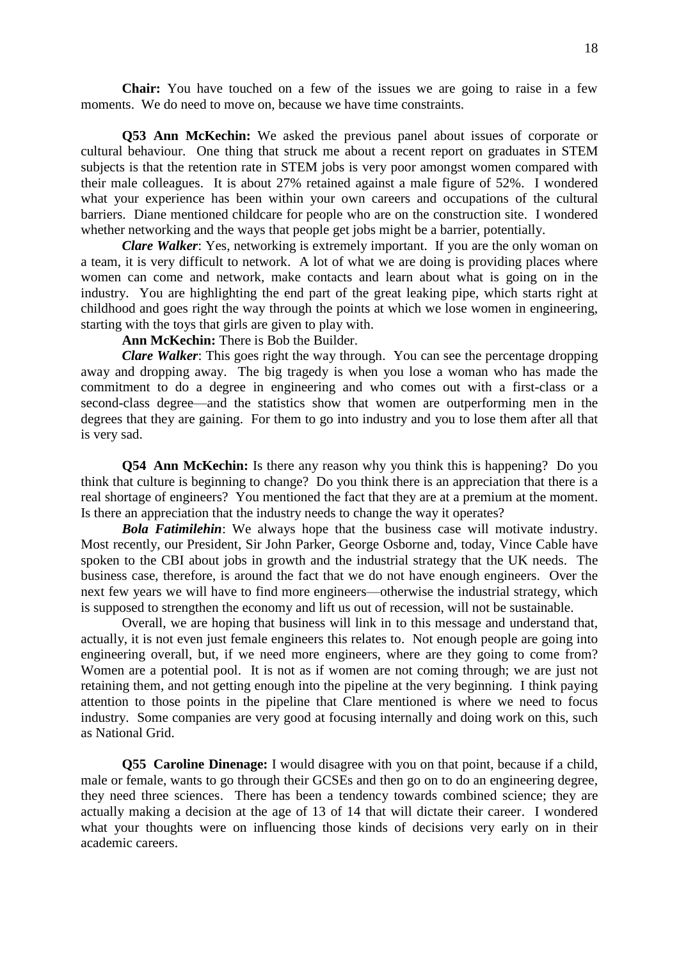**Chair:** You have touched on a few of the issues we are going to raise in a few moments. We do need to move on, because we have time constraints.

**Q53 Ann McKechin:** We asked the previous panel about issues of corporate or cultural behaviour. One thing that struck me about a recent report on graduates in STEM subjects is that the retention rate in STEM jobs is very poor amongst women compared with their male colleagues. It is about 27% retained against a male figure of 52%. I wondered what your experience has been within your own careers and occupations of the cultural barriers. Diane mentioned childcare for people who are on the construction site. I wondered whether networking and the ways that people get jobs might be a barrier, potentially.

*Clare Walker*: Yes, networking is extremely important. If you are the only woman on a team, it is very difficult to network. A lot of what we are doing is providing places where women can come and network, make contacts and learn about what is going on in the industry. You are highlighting the end part of the great leaking pipe, which starts right at childhood and goes right the way through the points at which we lose women in engineering, starting with the toys that girls are given to play with.

**Ann McKechin:** There is Bob the Builder.

*Clare Walker*: This goes right the way through. You can see the percentage dropping away and dropping away. The big tragedy is when you lose a woman who has made the commitment to do a degree in engineering and who comes out with a first-class or a second-class degree—and the statistics show that women are outperforming men in the degrees that they are gaining. For them to go into industry and you to lose them after all that is very sad.

**Q54 Ann McKechin:** Is there any reason why you think this is happening? Do you think that culture is beginning to change? Do you think there is an appreciation that there is a real shortage of engineers? You mentioned the fact that they are at a premium at the moment. Is there an appreciation that the industry needs to change the way it operates?

*Bola Fatimilehin*: We always hope that the business case will motivate industry. Most recently, our President, Sir John Parker, George Osborne and, today, Vince Cable have spoken to the CBI about jobs in growth and the industrial strategy that the UK needs. The business case, therefore, is around the fact that we do not have enough engineers. Over the next few years we will have to find more engineers—otherwise the industrial strategy, which is supposed to strengthen the economy and lift us out of recession, will not be sustainable.

Overall, we are hoping that business will link in to this message and understand that, actually, it is not even just female engineers this relates to. Not enough people are going into engineering overall, but, if we need more engineers, where are they going to come from? Women are a potential pool. It is not as if women are not coming through; we are just not retaining them, and not getting enough into the pipeline at the very beginning. I think paying attention to those points in the pipeline that Clare mentioned is where we need to focus industry. Some companies are very good at focusing internally and doing work on this, such as National Grid.

**Q55 Caroline Dinenage:** I would disagree with you on that point, because if a child, male or female, wants to go through their GCSEs and then go on to do an engineering degree, they need three sciences. There has been a tendency towards combined science; they are actually making a decision at the age of 13 of 14 that will dictate their career. I wondered what your thoughts were on influencing those kinds of decisions very early on in their academic careers.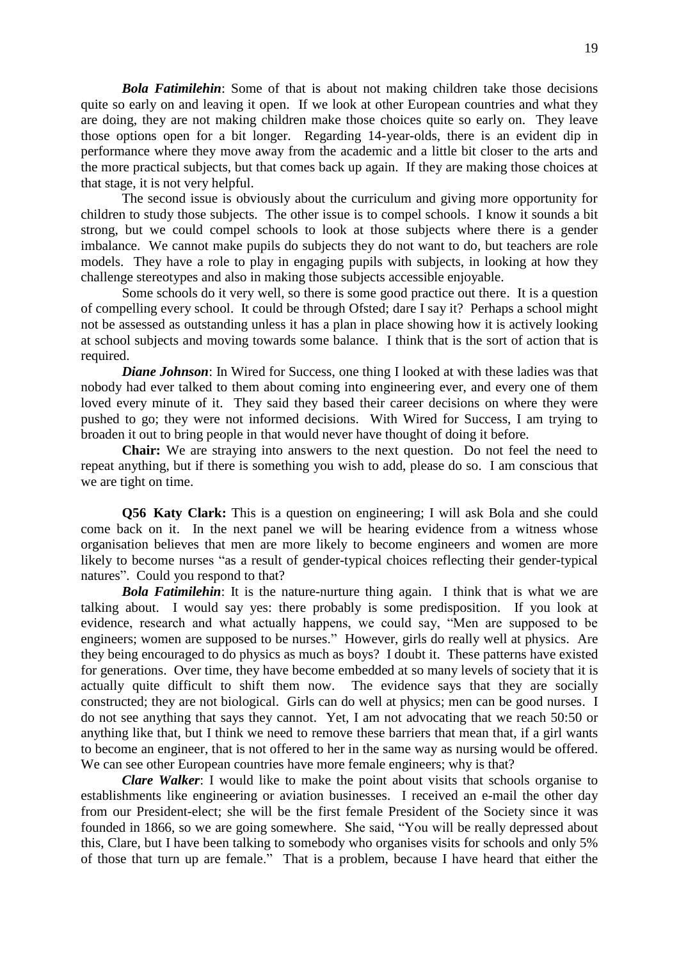*Bola Fatimilehin*: Some of that is about not making children take those decisions quite so early on and leaving it open. If we look at other European countries and what they are doing, they are not making children make those choices quite so early on. They leave those options open for a bit longer. Regarding 14-year-olds, there is an evident dip in performance where they move away from the academic and a little bit closer to the arts and the more practical subjects, but that comes back up again. If they are making those choices at that stage, it is not very helpful.

The second issue is obviously about the curriculum and giving more opportunity for children to study those subjects. The other issue is to compel schools. I know it sounds a bit strong, but we could compel schools to look at those subjects where there is a gender imbalance. We cannot make pupils do subjects they do not want to do, but teachers are role models. They have a role to play in engaging pupils with subjects, in looking at how they challenge stereotypes and also in making those subjects accessible enjoyable.

Some schools do it very well, so there is some good practice out there. It is a question of compelling every school. It could be through Ofsted; dare I say it? Perhaps a school might not be assessed as outstanding unless it has a plan in place showing how it is actively looking at school subjects and moving towards some balance. I think that is the sort of action that is required.

*Diane Johnson*: In Wired for Success, one thing I looked at with these ladies was that nobody had ever talked to them about coming into engineering ever, and every one of them loved every minute of it. They said they based their career decisions on where they were pushed to go; they were not informed decisions. With Wired for Success, I am trying to broaden it out to bring people in that would never have thought of doing it before.

**Chair:** We are straying into answers to the next question. Do not feel the need to repeat anything, but if there is something you wish to add, please do so. I am conscious that we are tight on time.

**Q56 Katy Clark:** This is a question on engineering; I will ask Bola and she could come back on it. In the next panel we will be hearing evidence from a witness whose organisation believes that men are more likely to become engineers and women are more likely to become nurses "as a result of gender-typical choices reflecting their gender-typical natures". Could you respond to that?

*Bola Fatimilehin*: It is the nature-nurture thing again. I think that is what we are talking about. I would say yes: there probably is some predisposition. If you look at evidence, research and what actually happens, we could say, "Men are supposed to be engineers; women are supposed to be nurses." However, girls do really well at physics. Are they being encouraged to do physics as much as boys? I doubt it. These patterns have existed for generations. Over time, they have become embedded at so many levels of society that it is actually quite difficult to shift them now. The evidence says that they are socially constructed; they are not biological. Girls can do well at physics; men can be good nurses. I do not see anything that says they cannot. Yet, I am not advocating that we reach 50:50 or anything like that, but I think we need to remove these barriers that mean that, if a girl wants to become an engineer, that is not offered to her in the same way as nursing would be offered. We can see other European countries have more female engineers; why is that?

*Clare Walker*: I would like to make the point about visits that schools organise to establishments like engineering or aviation businesses. I received an e-mail the other day from our President-elect; she will be the first female President of the Society since it was founded in 1866, so we are going somewhere. She said, "You will be really depressed about this, Clare, but I have been talking to somebody who organises visits for schools and only 5% of those that turn up are female." That is a problem, because I have heard that either the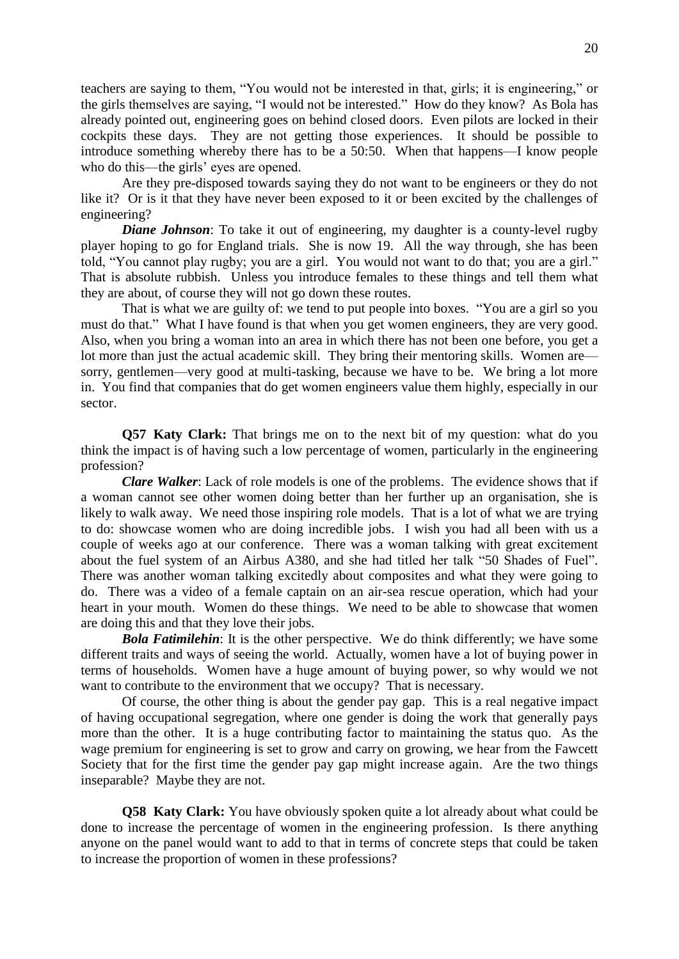teachers are saying to them, "You would not be interested in that, girls; it is engineering," or the girls themselves are saying, "I would not be interested." How do they know? As Bola has already pointed out, engineering goes on behind closed doors. Even pilots are locked in their cockpits these days. They are not getting those experiences. It should be possible to introduce something whereby there has to be a 50:50. When that happens—I know people who do this—the girls' eyes are opened.

Are they pre-disposed towards saying they do not want to be engineers or they do not like it? Or is it that they have never been exposed to it or been excited by the challenges of engineering?

*Diane Johnson*: To take it out of engineering, my daughter is a county-level rugby player hoping to go for England trials. She is now 19. All the way through, she has been told, "You cannot play rugby; you are a girl. You would not want to do that; you are a girl." That is absolute rubbish. Unless you introduce females to these things and tell them what they are about, of course they will not go down these routes.

That is what we are guilty of: we tend to put people into boxes. "You are a girl so you must do that." What I have found is that when you get women engineers, they are very good. Also, when you bring a woman into an area in which there has not been one before, you get a lot more than just the actual academic skill. They bring their mentoring skills. Women are sorry, gentlemen—very good at multi-tasking, because we have to be. We bring a lot more in. You find that companies that do get women engineers value them highly, especially in our sector.

**Q57 Katy Clark:** That brings me on to the next bit of my question: what do you think the impact is of having such a low percentage of women, particularly in the engineering profession?

*Clare Walker*: Lack of role models is one of the problems. The evidence shows that if a woman cannot see other women doing better than her further up an organisation, she is likely to walk away. We need those inspiring role models. That is a lot of what we are trying to do: showcase women who are doing incredible jobs. I wish you had all been with us a couple of weeks ago at our conference. There was a woman talking with great excitement about the fuel system of an Airbus A380, and she had titled her talk "50 Shades of Fuel". There was another woman talking excitedly about composites and what they were going to do. There was a video of a female captain on an air-sea rescue operation, which had your heart in your mouth. Women do these things. We need to be able to showcase that women are doing this and that they love their jobs.

**Bola Fatimilehin:** It is the other perspective. We do think differently; we have some different traits and ways of seeing the world. Actually, women have a lot of buying power in terms of households. Women have a huge amount of buying power, so why would we not want to contribute to the environment that we occupy? That is necessary.

Of course, the other thing is about the gender pay gap. This is a real negative impact of having occupational segregation, where one gender is doing the work that generally pays more than the other. It is a huge contributing factor to maintaining the status quo. As the wage premium for engineering is set to grow and carry on growing, we hear from the Fawcett Society that for the first time the gender pay gap might increase again. Are the two things inseparable? Maybe they are not.

**Q58 Katy Clark:** You have obviously spoken quite a lot already about what could be done to increase the percentage of women in the engineering profession. Is there anything anyone on the panel would want to add to that in terms of concrete steps that could be taken to increase the proportion of women in these professions?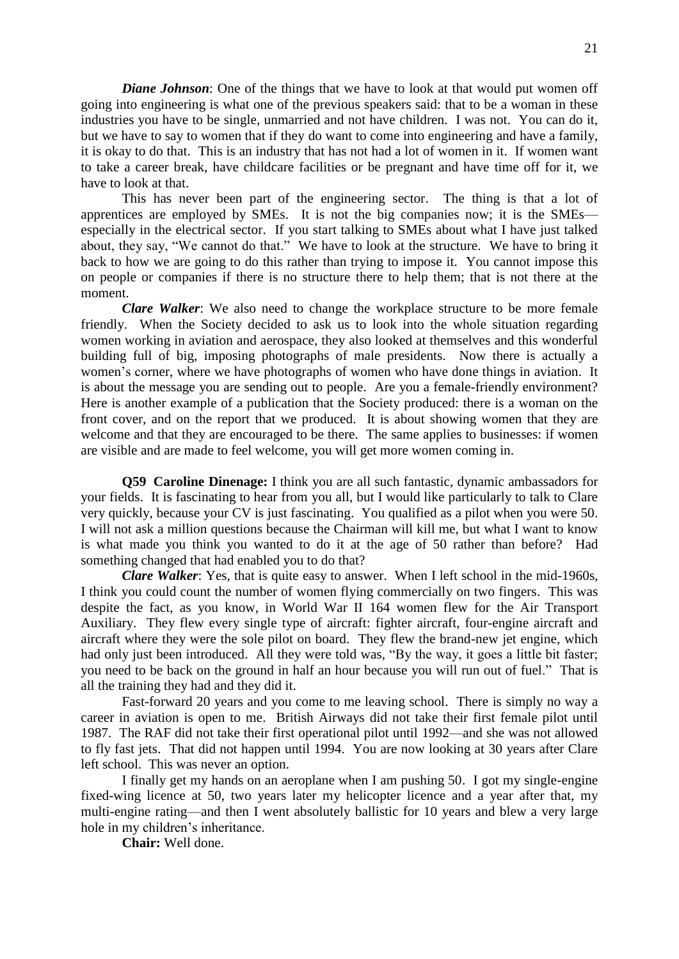*Diane Johnson*: One of the things that we have to look at that would put women off going into engineering is what one of the previous speakers said: that to be a woman in these industries you have to be single, unmarried and not have children. I was not. You can do it, but we have to say to women that if they do want to come into engineering and have a family, it is okay to do that. This is an industry that has not had a lot of women in it. If women want to take a career break, have childcare facilities or be pregnant and have time off for it, we have to look at that.

This has never been part of the engineering sector. The thing is that a lot of apprentices are employed by SMEs. It is not the big companies now; it is the SMEs especially in the electrical sector. If you start talking to SMEs about what I have just talked about, they say, "We cannot do that." We have to look at the structure. We have to bring it back to how we are going to do this rather than trying to impose it. You cannot impose this on people or companies if there is no structure there to help them; that is not there at the moment.

*Clare Walker*: We also need to change the workplace structure to be more female friendly. When the Society decided to ask us to look into the whole situation regarding women working in aviation and aerospace, they also looked at themselves and this wonderful building full of big, imposing photographs of male presidents. Now there is actually a women's corner, where we have photographs of women who have done things in aviation. It is about the message you are sending out to people. Are you a female-friendly environment? Here is another example of a publication that the Society produced: there is a woman on the front cover, and on the report that we produced. It is about showing women that they are welcome and that they are encouraged to be there. The same applies to businesses: if women are visible and are made to feel welcome, you will get more women coming in.

**Q59 Caroline Dinenage:** I think you are all such fantastic, dynamic ambassadors for your fields. It is fascinating to hear from you all, but I would like particularly to talk to Clare very quickly, because your CV is just fascinating. You qualified as a pilot when you were 50. I will not ask a million questions because the Chairman will kill me, but what I want to know is what made you think you wanted to do it at the age of 50 rather than before? Had something changed that had enabled you to do that?

*Clare Walker*: Yes, that is quite easy to answer. When I left school in the mid-1960s, I think you could count the number of women flying commercially on two fingers. This was despite the fact, as you know, in World War II 164 women flew for the Air Transport Auxiliary. They flew every single type of aircraft: fighter aircraft, four-engine aircraft and aircraft where they were the sole pilot on board. They flew the brand-new jet engine, which had only just been introduced. All they were told was, "By the way, it goes a little bit faster; you need to be back on the ground in half an hour because you will run out of fuel." That is all the training they had and they did it.

Fast-forward 20 years and you come to me leaving school. There is simply no way a career in aviation is open to me. British Airways did not take their first female pilot until 1987. The RAF did not take their first operational pilot until 1992—and she was not allowed to fly fast jets. That did not happen until 1994. You are now looking at 30 years after Clare left school. This was never an option.

I finally get my hands on an aeroplane when I am pushing 50. I got my single-engine fixed-wing licence at 50, two years later my helicopter licence and a year after that, my multi-engine rating—and then I went absolutely ballistic for 10 years and blew a very large hole in my children's inheritance.

**Chair:** Well done.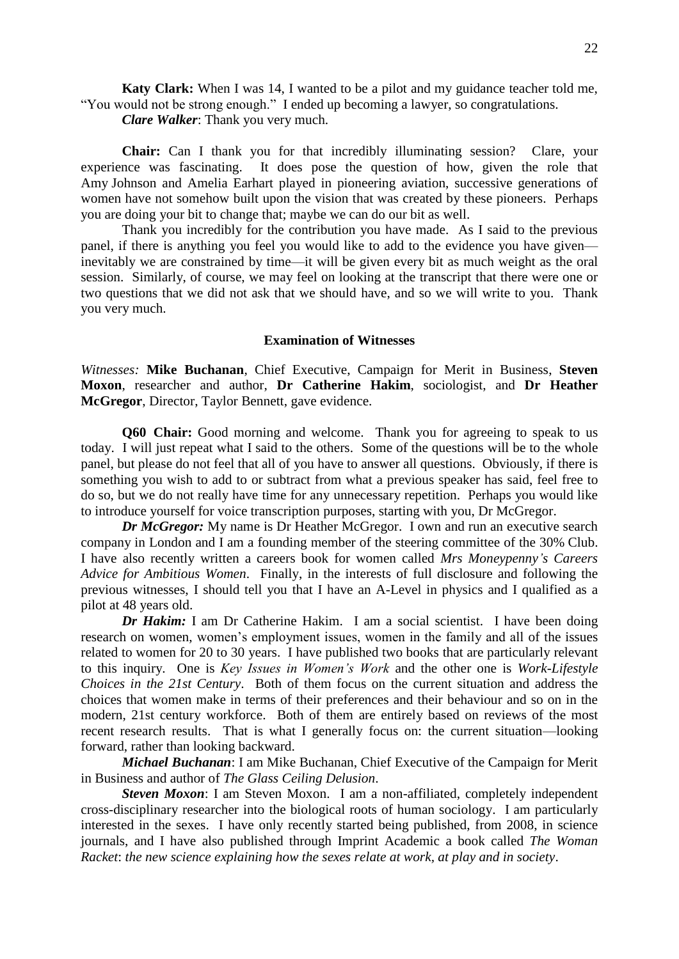**Katy Clark:** When I was 14, I wanted to be a pilot and my guidance teacher told me, "You would not be strong enough." I ended up becoming a lawyer, so congratulations.

*Clare Walker*: Thank you very much.

**Chair:** Can I thank you for that incredibly illuminating session? Clare, your experience was fascinating. It does pose the question of how, given the role that Amy Johnson and Amelia Earhart played in pioneering aviation, successive generations of women have not somehow built upon the vision that was created by these pioneers. Perhaps you are doing your bit to change that; maybe we can do our bit as well.

Thank you incredibly for the contribution you have made. As I said to the previous panel, if there is anything you feel you would like to add to the evidence you have given inevitably we are constrained by time—it will be given every bit as much weight as the oral session. Similarly, of course, we may feel on looking at the transcript that there were one or two questions that we did not ask that we should have, and so we will write to you. Thank you very much.

#### **Examination of Witnesses**

*Witnesses:* **Mike Buchanan**, Chief Executive, Campaign for Merit in Business, **Steven Moxon**, researcher and author, **Dr Catherine Hakim**, sociologist, and **Dr Heather McGregor**, Director, Taylor Bennett, gave evidence.

**Q60 Chair:** Good morning and welcome. Thank you for agreeing to speak to us today. I will just repeat what I said to the others. Some of the questions will be to the whole panel, but please do not feel that all of you have to answer all questions. Obviously, if there is something you wish to add to or subtract from what a previous speaker has said, feel free to do so, but we do not really have time for any unnecessary repetition. Perhaps you would like to introduce yourself for voice transcription purposes, starting with you, Dr McGregor.

*Dr McGregor:* My name is Dr Heather McGregor. I own and run an executive search company in London and I am a founding member of the steering committee of the 30% Club. I have also recently written a careers book for women called *Mrs Moneypenny's Careers Advice for Ambitious Women*. Finally, in the interests of full disclosure and following the previous witnesses, I should tell you that I have an A-Level in physics and I qualified as a pilot at 48 years old.

*Dr Hakim:* I am Dr Catherine Hakim. I am a social scientist. I have been doing research on women, women's employment issues, women in the family and all of the issues related to women for 20 to 30 years. I have published two books that are particularly relevant to this inquiry. One is *Key Issues in Women's Work* and the other one is *Work-Lifestyle Choices in the 21st Century*. Both of them focus on the current situation and address the choices that women make in terms of their preferences and their behaviour and so on in the modern, 21st century workforce. Both of them are entirely based on reviews of the most recent research results. That is what I generally focus on: the current situation—looking forward, rather than looking backward.

*Michael Buchanan*: I am Mike Buchanan, Chief Executive of the Campaign for Merit in Business and author of *The Glass Ceiling Delusion*.

*Steven Moxon*: I am Steven Moxon. I am a non-affiliated, completely independent cross-disciplinary researcher into the biological roots of human sociology. I am particularly interested in the sexes. I have only recently started being published, from 2008, in science journals, and I have also published through Imprint Academic a book called *The Woman Racket*: *the new science explaining how the sexes relate at work, at play and in society*.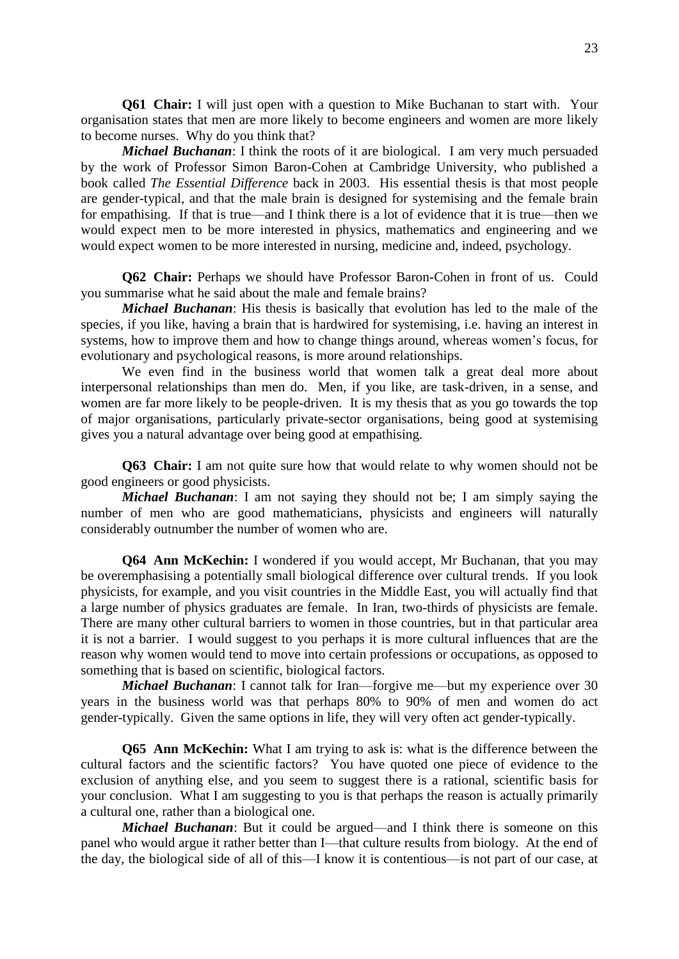**Q61 Chair:** I will just open with a question to Mike Buchanan to start with. Your organisation states that men are more likely to become engineers and women are more likely to become nurses. Why do you think that?

*Michael Buchanan*: I think the roots of it are biological. I am very much persuaded by the work of Professor Simon Baron-Cohen at Cambridge University, who published a book called *The Essential Difference* back in 2003. His essential thesis is that most people are gender-typical, and that the male brain is designed for systemising and the female brain for empathising. If that is true—and I think there is a lot of evidence that it is true—then we would expect men to be more interested in physics, mathematics and engineering and we would expect women to be more interested in nursing, medicine and, indeed, psychology.

**Q62 Chair:** Perhaps we should have Professor Baron-Cohen in front of us. Could you summarise what he said about the male and female brains?

*Michael Buchanan*: His thesis is basically that evolution has led to the male of the species, if you like, having a brain that is hardwired for systemising, i.e. having an interest in systems, how to improve them and how to change things around, whereas women's focus, for evolutionary and psychological reasons, is more around relationships.

We even find in the business world that women talk a great deal more about interpersonal relationships than men do. Men, if you like, are task-driven, in a sense, and women are far more likely to be people-driven. It is my thesis that as you go towards the top of major organisations, particularly private-sector organisations, being good at systemising gives you a natural advantage over being good at empathising.

**Q63 Chair:** I am not quite sure how that would relate to why women should not be good engineers or good physicists.

*Michael Buchanan*: I am not saying they should not be; I am simply saying the number of men who are good mathematicians, physicists and engineers will naturally considerably outnumber the number of women who are.

**Q64 Ann McKechin:** I wondered if you would accept, Mr Buchanan, that you may be overemphasising a potentially small biological difference over cultural trends. If you look physicists, for example, and you visit countries in the Middle East, you will actually find that a large number of physics graduates are female. In Iran, two-thirds of physicists are female. There are many other cultural barriers to women in those countries, but in that particular area it is not a barrier. I would suggest to you perhaps it is more cultural influences that are the reason why women would tend to move into certain professions or occupations, as opposed to something that is based on scientific, biological factors.

*Michael Buchanan*: I cannot talk for Iran—forgive me—but my experience over 30 years in the business world was that perhaps 80% to 90% of men and women do act gender-typically. Given the same options in life, they will very often act gender-typically.

**Q65 Ann McKechin:** What I am trying to ask is: what is the difference between the cultural factors and the scientific factors? You have quoted one piece of evidence to the exclusion of anything else, and you seem to suggest there is a rational, scientific basis for your conclusion. What I am suggesting to you is that perhaps the reason is actually primarily a cultural one, rather than a biological one.

*Michael Buchanan*: But it could be argued—and I think there is someone on this panel who would argue it rather better than I—that culture results from biology. At the end of the day, the biological side of all of this—I know it is contentious—is not part of our case, at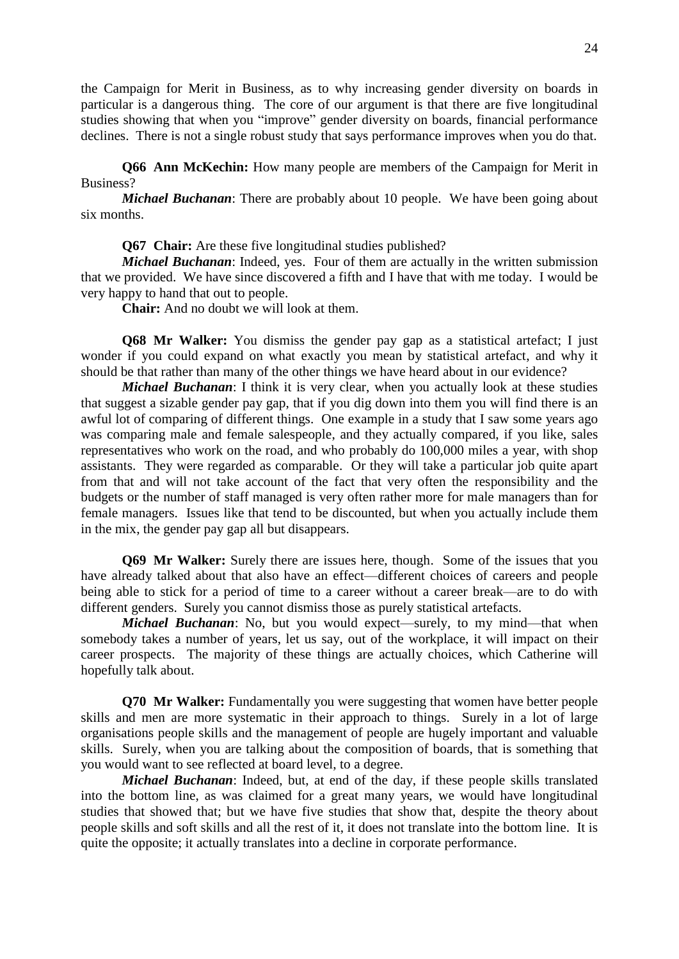the Campaign for Merit in Business, as to why increasing gender diversity on boards in particular is a dangerous thing. The core of our argument is that there are five longitudinal studies showing that when you "improve" gender diversity on boards, financial performance declines. There is not a single robust study that says performance improves when you do that.

**Q66 Ann McKechin:** How many people are members of the Campaign for Merit in Business?

*Michael Buchanan*: There are probably about 10 people. We have been going about six months.

**Q67 Chair:** Are these five longitudinal studies published?

*Michael Buchanan*: Indeed, yes. Four of them are actually in the written submission that we provided. We have since discovered a fifth and I have that with me today. I would be very happy to hand that out to people.

**Chair:** And no doubt we will look at them.

**Q68 Mr Walker:** You dismiss the gender pay gap as a statistical artefact; I just wonder if you could expand on what exactly you mean by statistical artefact, and why it should be that rather than many of the other things we have heard about in our evidence?

*Michael Buchanan*: I think it is very clear, when you actually look at these studies that suggest a sizable gender pay gap, that if you dig down into them you will find there is an awful lot of comparing of different things. One example in a study that I saw some years ago was comparing male and female salespeople, and they actually compared, if you like, sales representatives who work on the road, and who probably do 100,000 miles a year, with shop assistants. They were regarded as comparable. Or they will take a particular job quite apart from that and will not take account of the fact that very often the responsibility and the budgets or the number of staff managed is very often rather more for male managers than for female managers. Issues like that tend to be discounted, but when you actually include them in the mix, the gender pay gap all but disappears.

**Q69 Mr Walker:** Surely there are issues here, though. Some of the issues that you have already talked about that also have an effect—different choices of careers and people being able to stick for a period of time to a career without a career break—are to do with different genders. Surely you cannot dismiss those as purely statistical artefacts.

*Michael Buchanan*: No, but you would expect—surely, to my mind—that when somebody takes a number of years, let us say, out of the workplace, it will impact on their career prospects. The majority of these things are actually choices, which Catherine will hopefully talk about.

**Q70 Mr Walker:** Fundamentally you were suggesting that women have better people skills and men are more systematic in their approach to things. Surely in a lot of large organisations people skills and the management of people are hugely important and valuable skills. Surely, when you are talking about the composition of boards, that is something that you would want to see reflected at board level, to a degree.

*Michael Buchanan*: Indeed, but, at end of the day, if these people skills translated into the bottom line, as was claimed for a great many years, we would have longitudinal studies that showed that; but we have five studies that show that, despite the theory about people skills and soft skills and all the rest of it, it does not translate into the bottom line. It is quite the opposite; it actually translates into a decline in corporate performance.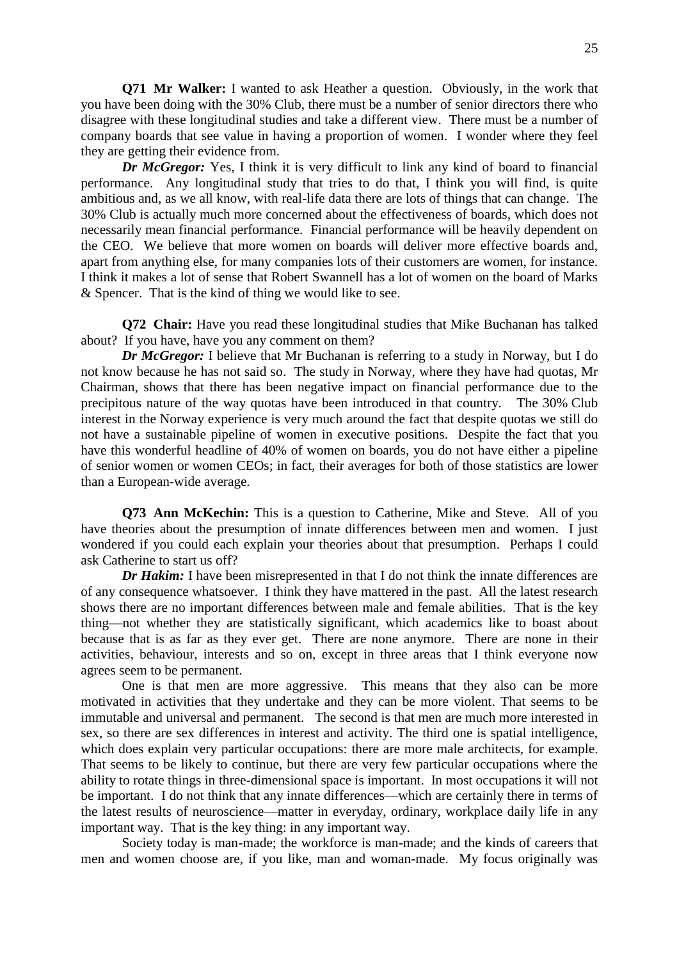**Q71 Mr Walker:** I wanted to ask Heather a question. Obviously, in the work that you have been doing with the 30% Club, there must be a number of senior directors there who disagree with these longitudinal studies and take a different view. There must be a number of company boards that see value in having a proportion of women. I wonder where they feel they are getting their evidence from.

*Dr McGregor:* Yes, I think it is very difficult to link any kind of board to financial performance. Any longitudinal study that tries to do that, I think you will find, is quite ambitious and, as we all know, with real-life data there are lots of things that can change. The 30% Club is actually much more concerned about the effectiveness of boards, which does not necessarily mean financial performance. Financial performance will be heavily dependent on the CEO. We believe that more women on boards will deliver more effective boards and, apart from anything else, for many companies lots of their customers are women, for instance. I think it makes a lot of sense that Robert Swannell has a lot of women on the board of Marks & Spencer. That is the kind of thing we would like to see.

**Q72 Chair:** Have you read these longitudinal studies that Mike Buchanan has talked about? If you have, have you any comment on them?

*Dr McGregor:* I believe that Mr Buchanan is referring to a study in Norway, but I do not know because he has not said so. The study in Norway, where they have had quotas, Mr Chairman, shows that there has been negative impact on financial performance due to the precipitous nature of the way quotas have been introduced in that country. The 30% Club interest in the Norway experience is very much around the fact that despite quotas we still do not have a sustainable pipeline of women in executive positions. Despite the fact that you have this wonderful headline of 40% of women on boards, you do not have either a pipeline of senior women or women CEOs; in fact, their averages for both of those statistics are lower than a European-wide average.

**Q73 Ann McKechin:** This is a question to Catherine, Mike and Steve. All of you have theories about the presumption of innate differences between men and women. I just wondered if you could each explain your theories about that presumption. Perhaps I could ask Catherine to start us off?

*Dr Hakim:* I have been misrepresented in that I do not think the innate differences are of any consequence whatsoever. I think they have mattered in the past. All the latest research shows there are no important differences between male and female abilities. That is the key thing—not whether they are statistically significant, which academics like to boast about because that is as far as they ever get. There are none anymore. There are none in their activities, behaviour, interests and so on, except in three areas that I think everyone now agrees seem to be permanent.

One is that men are more aggressive. This means that they also can be more motivated in activities that they undertake and they can be more violent. That seems to be immutable and universal and permanent. The second is that men are much more interested in sex, so there are sex differences in interest and activity. The third one is spatial intelligence, which does explain very particular occupations: there are more male architects, for example. That seems to be likely to continue, but there are very few particular occupations where the ability to rotate things in three-dimensional space is important. In most occupations it will not be important. I do not think that any innate differences—which are certainly there in terms of the latest results of neuroscience—matter in everyday, ordinary, workplace daily life in any important way. That is the key thing: in any important way.

Society today is man-made; the workforce is man-made; and the kinds of careers that men and women choose are, if you like, man and woman-made. My focus originally was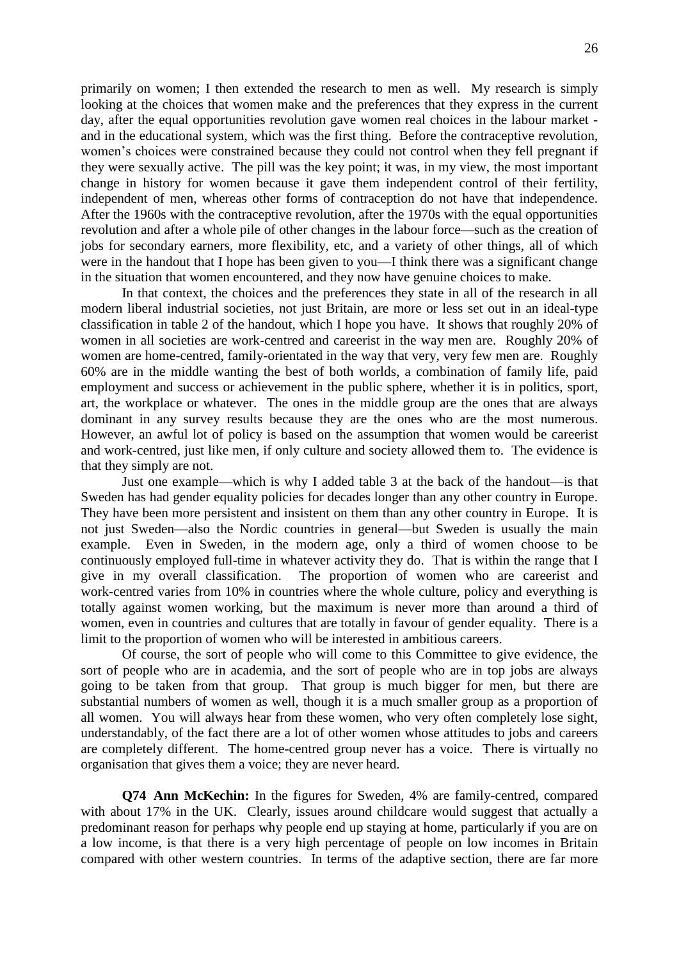primarily on women; I then extended the research to men as well. My research is simply looking at the choices that women make and the preferences that they express in the current day, after the equal opportunities revolution gave women real choices in the labour market and in the educational system, which was the first thing. Before the contraceptive revolution, women's choices were constrained because they could not control when they fell pregnant if they were sexually active. The pill was the key point; it was, in my view, the most important change in history for women because it gave them independent control of their fertility, independent of men, whereas other forms of contraception do not have that independence. After the 1960s with the contraceptive revolution, after the 1970s with the equal opportunities revolution and after a whole pile of other changes in the labour force—such as the creation of jobs for secondary earners, more flexibility, etc, and a variety of other things, all of which were in the handout that I hope has been given to you—I think there was a significant change in the situation that women encountered, and they now have genuine choices to make.

In that context, the choices and the preferences they state in all of the research in all modern liberal industrial societies, not just Britain, are more or less set out in an ideal-type classification in table 2 of the handout, which I hope you have. It shows that roughly 20% of women in all societies are work-centred and careerist in the way men are. Roughly 20% of women are home-centred, family-orientated in the way that very, very few men are. Roughly 60% are in the middle wanting the best of both worlds, a combination of family life, paid employment and success or achievement in the public sphere, whether it is in politics, sport, art, the workplace or whatever. The ones in the middle group are the ones that are always dominant in any survey results because they are the ones who are the most numerous. However, an awful lot of policy is based on the assumption that women would be careerist and work-centred, just like men, if only culture and society allowed them to. The evidence is that they simply are not.

Just one example—which is why I added table 3 at the back of the handout—is that Sweden has had gender equality policies for decades longer than any other country in Europe. They have been more persistent and insistent on them than any other country in Europe. It is not just Sweden—also the Nordic countries in general—but Sweden is usually the main example. Even in Sweden, in the modern age, only a third of women choose to be continuously employed full-time in whatever activity they do. That is within the range that I give in my overall classification. The proportion of women who are careerist and work-centred varies from 10% in countries where the whole culture, policy and everything is totally against women working, but the maximum is never more than around a third of women, even in countries and cultures that are totally in favour of gender equality. There is a limit to the proportion of women who will be interested in ambitious careers.

Of course, the sort of people who will come to this Committee to give evidence, the sort of people who are in academia, and the sort of people who are in top jobs are always going to be taken from that group. That group is much bigger for men, but there are substantial numbers of women as well, though it is a much smaller group as a proportion of all women. You will always hear from these women, who very often completely lose sight, understandably, of the fact there are a lot of other women whose attitudes to jobs and careers are completely different. The home-centred group never has a voice. There is virtually no organisation that gives them a voice; they are never heard.

**Q74 Ann McKechin:** In the figures for Sweden, 4% are family-centred, compared with about 17% in the UK. Clearly, issues around childcare would suggest that actually a predominant reason for perhaps why people end up staying at home, particularly if you are on a low income, is that there is a very high percentage of people on low incomes in Britain compared with other western countries. In terms of the adaptive section, there are far more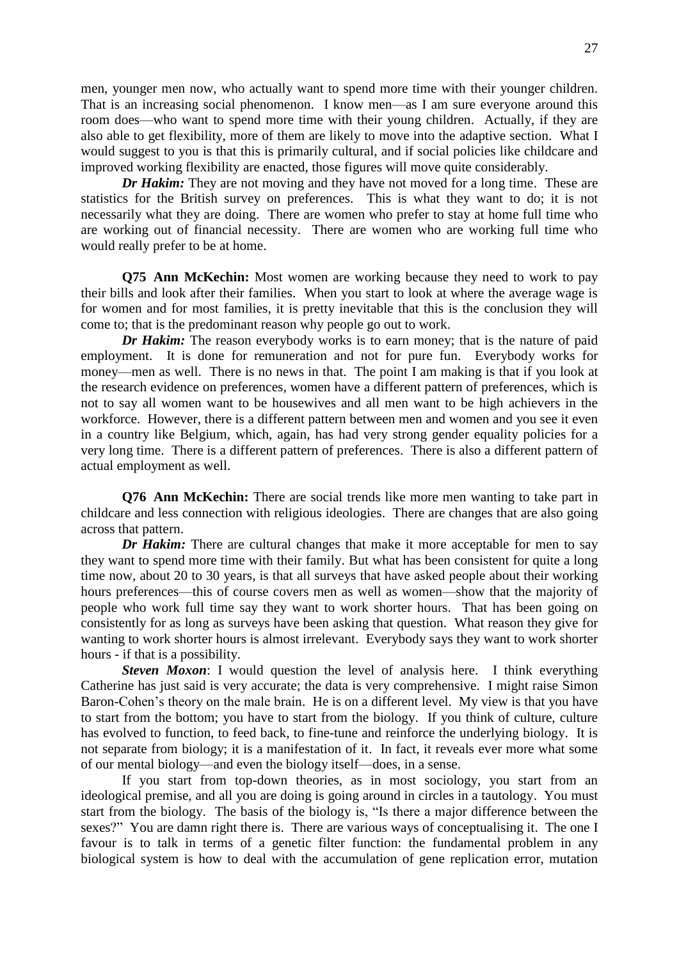men, younger men now, who actually want to spend more time with their younger children. That is an increasing social phenomenon. I know men—as I am sure everyone around this room does—who want to spend more time with their young children. Actually, if they are also able to get flexibility, more of them are likely to move into the adaptive section. What I would suggest to you is that this is primarily cultural, and if social policies like childcare and improved working flexibility are enacted, those figures will move quite considerably.

*Dr Hakim:* They are not moving and they have not moved for a long time. These are statistics for the British survey on preferences. This is what they want to do; it is not necessarily what they are doing. There are women who prefer to stay at home full time who are working out of financial necessity. There are women who are working full time who would really prefer to be at home.

**Q75 Ann McKechin:** Most women are working because they need to work to pay their bills and look after their families. When you start to look at where the average wage is for women and for most families, it is pretty inevitable that this is the conclusion they will come to; that is the predominant reason why people go out to work.

*Dr Hakim:* The reason everybody works is to earn money; that is the nature of paid employment. It is done for remuneration and not for pure fun. Everybody works for money—men as well. There is no news in that. The point I am making is that if you look at the research evidence on preferences, women have a different pattern of preferences, which is not to say all women want to be housewives and all men want to be high achievers in the workforce. However, there is a different pattern between men and women and you see it even in a country like Belgium, which, again, has had very strong gender equality policies for a very long time. There is a different pattern of preferences. There is also a different pattern of actual employment as well.

**Q76 Ann McKechin:** There are social trends like more men wanting to take part in childcare and less connection with religious ideologies. There are changes that are also going across that pattern.

*Dr Hakim:* There are cultural changes that make it more acceptable for men to say they want to spend more time with their family. But what has been consistent for quite a long time now, about 20 to 30 years, is that all surveys that have asked people about their working hours preferences—this of course covers men as well as women—show that the majority of people who work full time say they want to work shorter hours. That has been going on consistently for as long as surveys have been asking that question. What reason they give for wanting to work shorter hours is almost irrelevant. Everybody says they want to work shorter hours - if that is a possibility.

**Steven Moxon:** I would question the level of analysis here. I think everything Catherine has just said is very accurate; the data is very comprehensive. I might raise Simon Baron-Cohen's theory on the male brain. He is on a different level. My view is that you have to start from the bottom; you have to start from the biology. If you think of culture, culture has evolved to function, to feed back, to fine-tune and reinforce the underlying biology. It is not separate from biology; it is a manifestation of it. In fact, it reveals ever more what some of our mental biology—and even the biology itself—does, in a sense.

If you start from top-down theories, as in most sociology, you start from an ideological premise, and all you are doing is going around in circles in a tautology. You must start from the biology. The basis of the biology is, "Is there a major difference between the sexes?" You are damn right there is. There are various ways of conceptualising it. The one I favour is to talk in terms of a genetic filter function: the fundamental problem in any biological system is how to deal with the accumulation of gene replication error, mutation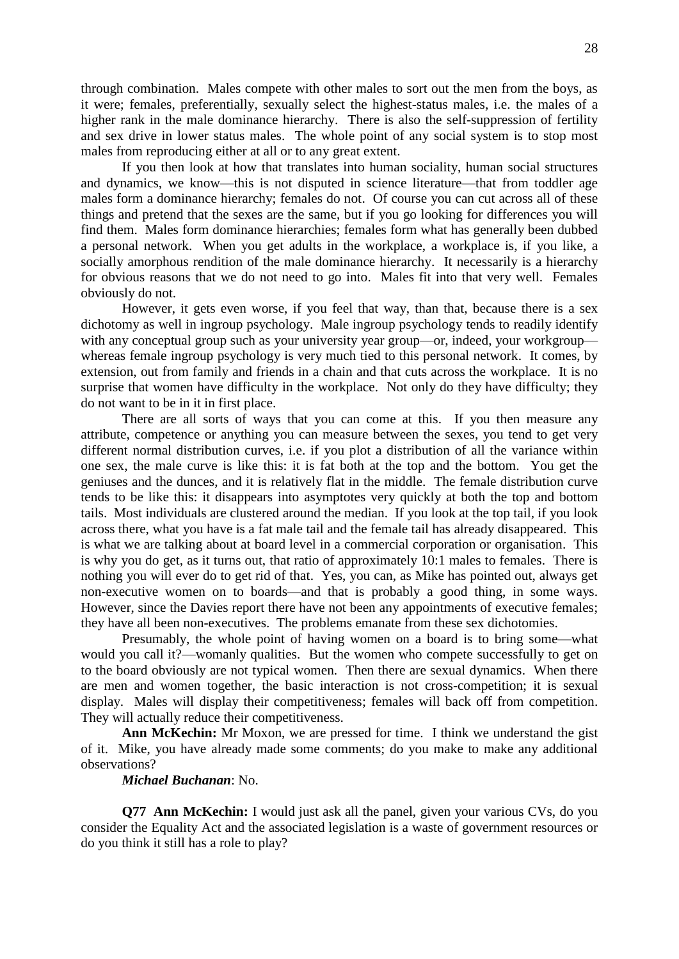through combination. Males compete with other males to sort out the men from the boys, as it were; females, preferentially, sexually select the highest-status males, i.e. the males of a higher rank in the male dominance hierarchy. There is also the self-suppression of fertility and sex drive in lower status males. The whole point of any social system is to stop most males from reproducing either at all or to any great extent.

If you then look at how that translates into human sociality, human social structures and dynamics, we know—this is not disputed in science literature—that from toddler age males form a dominance hierarchy; females do not. Of course you can cut across all of these things and pretend that the sexes are the same, but if you go looking for differences you will find them. Males form dominance hierarchies; females form what has generally been dubbed a personal network. When you get adults in the workplace, a workplace is, if you like, a socially amorphous rendition of the male dominance hierarchy. It necessarily is a hierarchy for obvious reasons that we do not need to go into. Males fit into that very well. Females obviously do not.

However, it gets even worse, if you feel that way, than that, because there is a sex dichotomy as well in ingroup psychology. Male ingroup psychology tends to readily identify with any conceptual group such as your university year group—or, indeed, your workgroup whereas female ingroup psychology is very much tied to this personal network. It comes, by extension, out from family and friends in a chain and that cuts across the workplace. It is no surprise that women have difficulty in the workplace. Not only do they have difficulty; they do not want to be in it in first place.

There are all sorts of ways that you can come at this. If you then measure any attribute, competence or anything you can measure between the sexes, you tend to get very different normal distribution curves, i.e. if you plot a distribution of all the variance within one sex, the male curve is like this: it is fat both at the top and the bottom. You get the geniuses and the dunces, and it is relatively flat in the middle. The female distribution curve tends to be like this: it disappears into asymptotes very quickly at both the top and bottom tails. Most individuals are clustered around the median. If you look at the top tail, if you look across there, what you have is a fat male tail and the female tail has already disappeared. This is what we are talking about at board level in a commercial corporation or organisation. This is why you do get, as it turns out, that ratio of approximately 10:1 males to females. There is nothing you will ever do to get rid of that. Yes, you can, as Mike has pointed out, always get non-executive women on to boards—and that is probably a good thing, in some ways. However, since the Davies report there have not been any appointments of executive females; they have all been non-executives. The problems emanate from these sex dichotomies.

Presumably, the whole point of having women on a board is to bring some—what would you call it?—womanly qualities. But the women who compete successfully to get on to the board obviously are not typical women. Then there are sexual dynamics. When there are men and women together, the basic interaction is not cross-competition; it is sexual display. Males will display their competitiveness; females will back off from competition. They will actually reduce their competitiveness.

**Ann McKechin:** Mr Moxon, we are pressed for time. I think we understand the gist of it. Mike, you have already made some comments; do you make to make any additional observations?

#### *Michael Buchanan*: No.

**Q77 Ann McKechin:** I would just ask all the panel, given your various CVs, do you consider the Equality Act and the associated legislation is a waste of government resources or do you think it still has a role to play?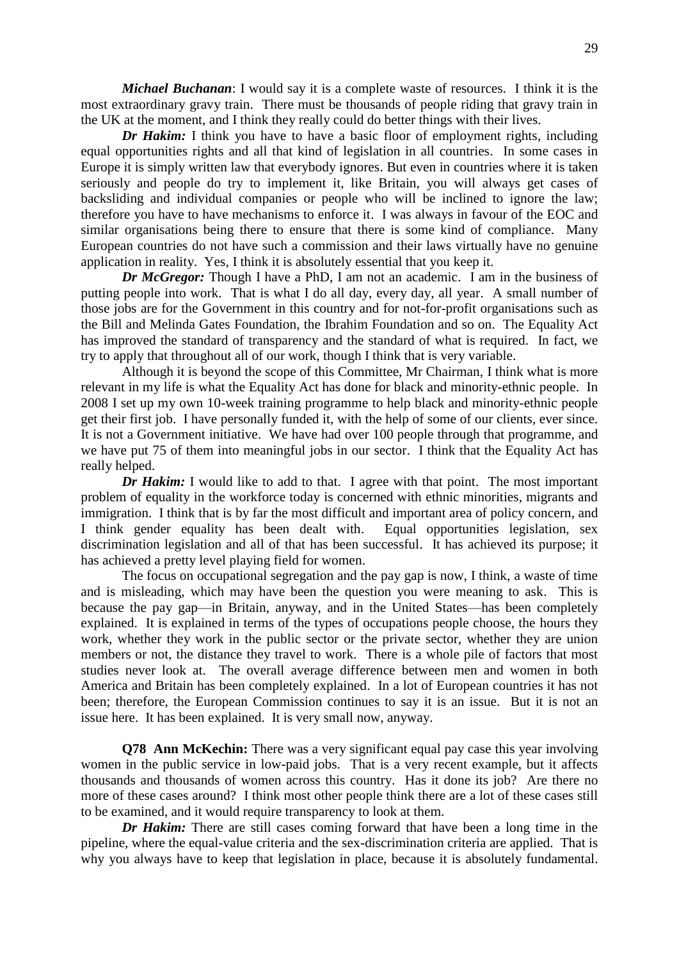*Michael Buchanan*: I would say it is a complete waste of resources. I think it is the most extraordinary gravy train. There must be thousands of people riding that gravy train in the UK at the moment, and I think they really could do better things with their lives.

*Dr Hakim:* I think you have to have a basic floor of employment rights, including equal opportunities rights and all that kind of legislation in all countries. In some cases in Europe it is simply written law that everybody ignores. But even in countries where it is taken seriously and people do try to implement it, like Britain, you will always get cases of backsliding and individual companies or people who will be inclined to ignore the law; therefore you have to have mechanisms to enforce it. I was always in favour of the EOC and similar organisations being there to ensure that there is some kind of compliance. Many European countries do not have such a commission and their laws virtually have no genuine application in reality. Yes, I think it is absolutely essential that you keep it.

*Dr McGregor:* Though I have a PhD, I am not an academic. I am in the business of putting people into work. That is what I do all day, every day, all year. A small number of those jobs are for the Government in this country and for not-for-profit organisations such as the Bill and Melinda Gates Foundation, the Ibrahim Foundation and so on. The Equality Act has improved the standard of transparency and the standard of what is required. In fact, we try to apply that throughout all of our work, though I think that is very variable.

Although it is beyond the scope of this Committee, Mr Chairman, I think what is more relevant in my life is what the Equality Act has done for black and minority-ethnic people. In 2008 I set up my own 10-week training programme to help black and minority-ethnic people get their first job. I have personally funded it, with the help of some of our clients, ever since. It is not a Government initiative. We have had over 100 people through that programme, and we have put 75 of them into meaningful jobs in our sector. I think that the Equality Act has really helped.

*Dr Hakim:* I would like to add to that. I agree with that point. The most important problem of equality in the workforce today is concerned with ethnic minorities, migrants and immigration. I think that is by far the most difficult and important area of policy concern, and I think gender equality has been dealt with. Equal opportunities legislation, sex discrimination legislation and all of that has been successful. It has achieved its purpose; it has achieved a pretty level playing field for women.

The focus on occupational segregation and the pay gap is now, I think, a waste of time and is misleading, which may have been the question you were meaning to ask. This is because the pay gap—in Britain, anyway, and in the United States—has been completely explained. It is explained in terms of the types of occupations people choose, the hours they work, whether they work in the public sector or the private sector, whether they are union members or not, the distance they travel to work. There is a whole pile of factors that most studies never look at. The overall average difference between men and women in both America and Britain has been completely explained. In a lot of European countries it has not been; therefore, the European Commission continues to say it is an issue. But it is not an issue here. It has been explained. It is very small now, anyway.

**Q78 Ann McKechin:** There was a very significant equal pay case this year involving women in the public service in low-paid jobs. That is a very recent example, but it affects thousands and thousands of women across this country. Has it done its job? Are there no more of these cases around? I think most other people think there are a lot of these cases still to be examined, and it would require transparency to look at them.

*Dr Hakim:* There are still cases coming forward that have been a long time in the pipeline, where the equal-value criteria and the sex-discrimination criteria are applied. That is why you always have to keep that legislation in place, because it is absolutely fundamental.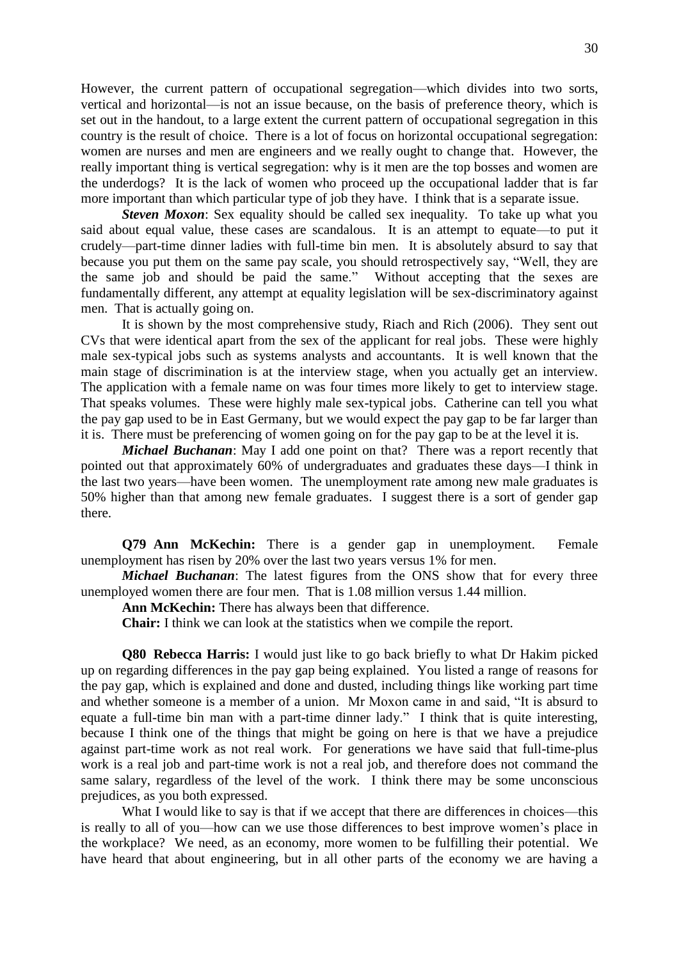However, the current pattern of occupational segregation—which divides into two sorts, vertical and horizontal—is not an issue because, on the basis of preference theory, which is set out in the handout, to a large extent the current pattern of occupational segregation in this country is the result of choice. There is a lot of focus on horizontal occupational segregation: women are nurses and men are engineers and we really ought to change that. However, the really important thing is vertical segregation: why is it men are the top bosses and women are the underdogs? It is the lack of women who proceed up the occupational ladder that is far more important than which particular type of job they have. I think that is a separate issue.

*Steven Moxon*: Sex equality should be called sex inequality. To take up what you said about equal value, these cases are scandalous. It is an attempt to equate—to put it crudely—part-time dinner ladies with full-time bin men. It is absolutely absurd to say that because you put them on the same pay scale, you should retrospectively say, "Well, they are the same job and should be paid the same." Without accepting that the sexes are fundamentally different, any attempt at equality legislation will be sex-discriminatory against men. That is actually going on.

It is shown by the most comprehensive study, Riach and Rich (2006). They sent out CVs that were identical apart from the sex of the applicant for real jobs. These were highly male sex-typical jobs such as systems analysts and accountants. It is well known that the main stage of discrimination is at the interview stage, when you actually get an interview. The application with a female name on was four times more likely to get to interview stage. That speaks volumes. These were highly male sex-typical jobs. Catherine can tell you what the pay gap used to be in East Germany, but we would expect the pay gap to be far larger than it is. There must be preferencing of women going on for the pay gap to be at the level it is.

*Michael Buchanan*: May I add one point on that? There was a report recently that pointed out that approximately 60% of undergraduates and graduates these days—I think in the last two years—have been women. The unemployment rate among new male graduates is 50% higher than that among new female graduates. I suggest there is a sort of gender gap there.

**Q79 Ann McKechin:** There is a gender gap in unemployment. Female unemployment has risen by 20% over the last two years versus 1% for men.

*Michael Buchanan*: The latest figures from the ONS show that for every three unemployed women there are four men. That is 1.08 million versus 1.44 million.

**Ann McKechin:** There has always been that difference.

**Chair:** I think we can look at the statistics when we compile the report.

**Q80 Rebecca Harris:** I would just like to go back briefly to what Dr Hakim picked up on regarding differences in the pay gap being explained. You listed a range of reasons for the pay gap, which is explained and done and dusted, including things like working part time and whether someone is a member of a union. Mr Moxon came in and said, "It is absurd to equate a full-time bin man with a part-time dinner lady." I think that is quite interesting, because I think one of the things that might be going on here is that we have a prejudice against part-time work as not real work. For generations we have said that full-time-plus work is a real job and part-time work is not a real job, and therefore does not command the same salary, regardless of the level of the work. I think there may be some unconscious prejudices, as you both expressed.

What I would like to say is that if we accept that there are differences in choices—this is really to all of you—how can we use those differences to best improve women's place in the workplace? We need, as an economy, more women to be fulfilling their potential. We have heard that about engineering, but in all other parts of the economy we are having a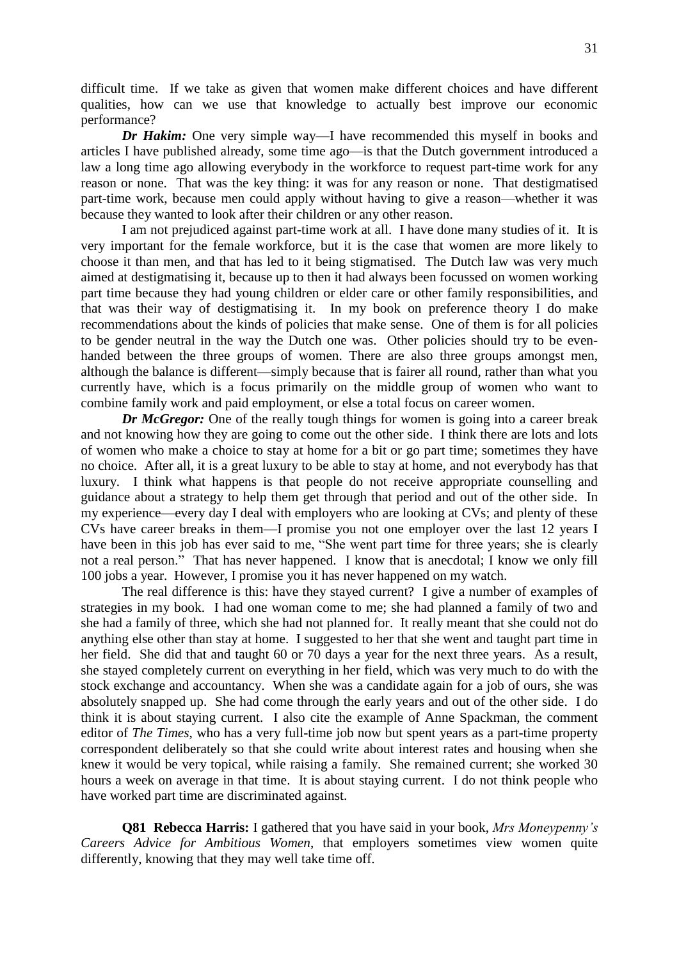difficult time. If we take as given that women make different choices and have different qualities, how can we use that knowledge to actually best improve our economic performance?

*Dr Hakim:* One very simple way—I have recommended this myself in books and articles I have published already, some time ago—is that the Dutch government introduced a law a long time ago allowing everybody in the workforce to request part-time work for any reason or none. That was the key thing: it was for any reason or none. That destigmatised part-time work, because men could apply without having to give a reason—whether it was because they wanted to look after their children or any other reason.

I am not prejudiced against part-time work at all. I have done many studies of it. It is very important for the female workforce, but it is the case that women are more likely to choose it than men, and that has led to it being stigmatised. The Dutch law was very much aimed at destigmatising it, because up to then it had always been focussed on women working part time because they had young children or elder care or other family responsibilities, and that was their way of destigmatising it. In my book on preference theory I do make recommendations about the kinds of policies that make sense. One of them is for all policies to be gender neutral in the way the Dutch one was. Other policies should try to be evenhanded between the three groups of women. There are also three groups amongst men, although the balance is different—simply because that is fairer all round, rather than what you currently have, which is a focus primarily on the middle group of women who want to combine family work and paid employment, or else a total focus on career women.

*Dr McGregor:* One of the really tough things for women is going into a career break and not knowing how they are going to come out the other side. I think there are lots and lots of women who make a choice to stay at home for a bit or go part time; sometimes they have no choice. After all, it is a great luxury to be able to stay at home, and not everybody has that luxury. I think what happens is that people do not receive appropriate counselling and guidance about a strategy to help them get through that period and out of the other side. In my experience—every day I deal with employers who are looking at CVs; and plenty of these CVs have career breaks in them—I promise you not one employer over the last 12 years I have been in this job has ever said to me, "She went part time for three years; she is clearly not a real person." That has never happened. I know that is anecdotal; I know we only fill 100 jobs a year. However, I promise you it has never happened on my watch.

The real difference is this: have they stayed current? I give a number of examples of strategies in my book. I had one woman come to me; she had planned a family of two and she had a family of three, which she had not planned for. It really meant that she could not do anything else other than stay at home. I suggested to her that she went and taught part time in her field. She did that and taught 60 or 70 days a year for the next three years. As a result, she stayed completely current on everything in her field, which was very much to do with the stock exchange and accountancy. When she was a candidate again for a job of ours, she was absolutely snapped up. She had come through the early years and out of the other side. I do think it is about staying current. I also cite the example of Anne Spackman, the comment editor of *The Times*, who has a very full-time job now but spent years as a part-time property correspondent deliberately so that she could write about interest rates and housing when she knew it would be very topical, while raising a family. She remained current; she worked 30 hours a week on average in that time. It is about staying current. I do not think people who have worked part time are discriminated against.

**Q81 Rebecca Harris:** I gathered that you have said in your book, *Mrs Moneypenny's Careers Advice for Ambitious Women*, that employers sometimes view women quite differently, knowing that they may well take time off.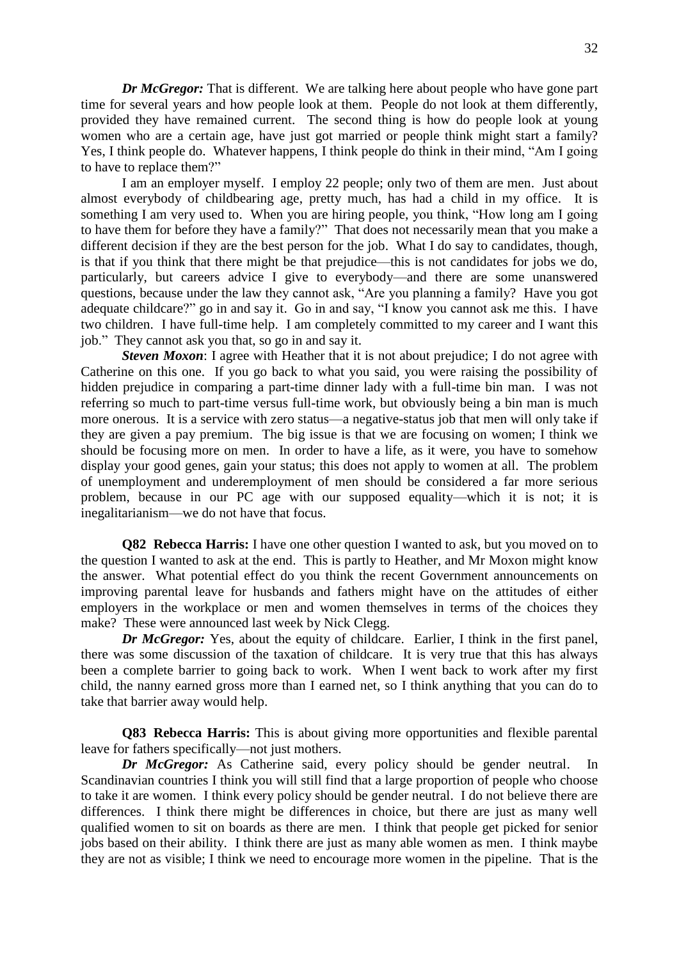*Dr McGregor:* That is different. We are talking here about people who have gone part time for several years and how people look at them. People do not look at them differently, provided they have remained current. The second thing is how do people look at young women who are a certain age, have just got married or people think might start a family? Yes, I think people do. Whatever happens, I think people do think in their mind, "Am I going to have to replace them?"

I am an employer myself. I employ 22 people; only two of them are men. Just about almost everybody of childbearing age, pretty much, has had a child in my office. It is something I am very used to. When you are hiring people, you think, "How long am I going to have them for before they have a family?" That does not necessarily mean that you make a different decision if they are the best person for the job. What I do say to candidates, though, is that if you think that there might be that prejudice—this is not candidates for jobs we do, particularly, but careers advice I give to everybody—and there are some unanswered questions, because under the law they cannot ask, "Are you planning a family? Have you got adequate childcare?" go in and say it. Go in and say, "I know you cannot ask me this. I have two children. I have full-time help. I am completely committed to my career and I want this job." They cannot ask you that, so go in and say it.

*Steven Moxon*: I agree with Heather that it is not about prejudice; I do not agree with Catherine on this one. If you go back to what you said, you were raising the possibility of hidden prejudice in comparing a part-time dinner lady with a full-time bin man. I was not referring so much to part-time versus full-time work, but obviously being a bin man is much more onerous. It is a service with zero status—a negative-status job that men will only take if they are given a pay premium. The big issue is that we are focusing on women; I think we should be focusing more on men. In order to have a life, as it were, you have to somehow display your good genes, gain your status; this does not apply to women at all. The problem of unemployment and underemployment of men should be considered a far more serious problem, because in our PC age with our supposed equality—which it is not; it is inegalitarianism—we do not have that focus.

**Q82 Rebecca Harris:** I have one other question I wanted to ask, but you moved on to the question I wanted to ask at the end. This is partly to Heather, and Mr Moxon might know the answer. What potential effect do you think the recent Government announcements on improving parental leave for husbands and fathers might have on the attitudes of either employers in the workplace or men and women themselves in terms of the choices they make? These were announced last week by Nick Clegg.

*Dr McGregor:* Yes, about the equity of childcare. Earlier, I think in the first panel, there was some discussion of the taxation of childcare. It is very true that this has always been a complete barrier to going back to work. When I went back to work after my first child, the nanny earned gross more than I earned net, so I think anything that you can do to take that barrier away would help.

**Q83 Rebecca Harris:** This is about giving more opportunities and flexible parental leave for fathers specifically—not just mothers.

*Dr McGregor:* As Catherine said, every policy should be gender neutral. Scandinavian countries I think you will still find that a large proportion of people who choose to take it are women. I think every policy should be gender neutral. I do not believe there are differences. I think there might be differences in choice, but there are just as many well qualified women to sit on boards as there are men. I think that people get picked for senior jobs based on their ability. I think there are just as many able women as men. I think maybe they are not as visible; I think we need to encourage more women in the pipeline. That is the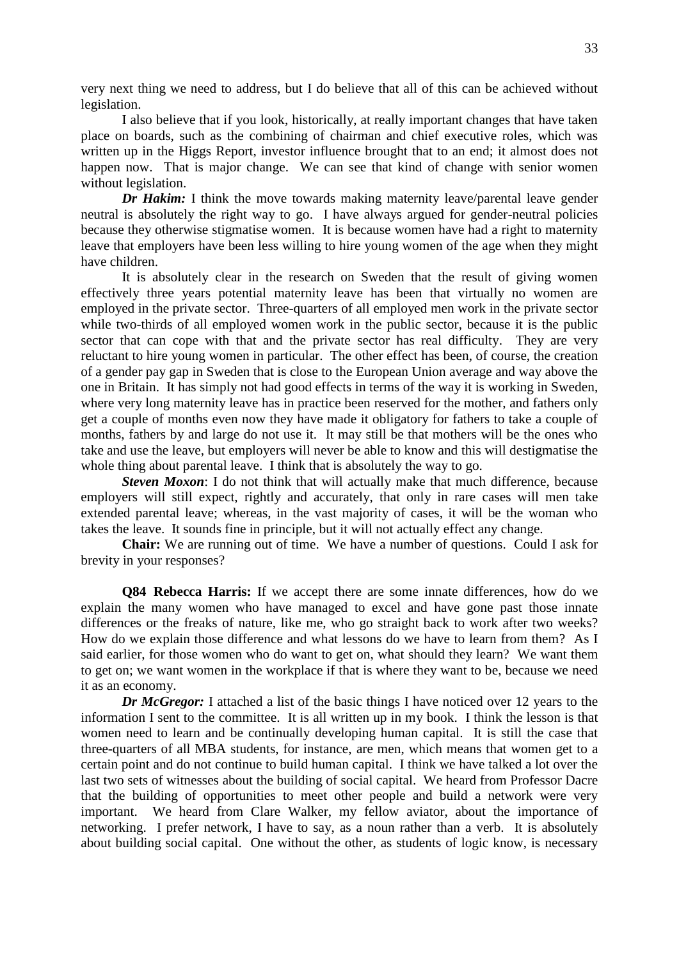very next thing we need to address, but I do believe that all of this can be achieved without legislation.

I also believe that if you look, historically, at really important changes that have taken place on boards, such as the combining of chairman and chief executive roles, which was written up in the Higgs Report, investor influence brought that to an end; it almost does not happen now. That is major change. We can see that kind of change with senior women without legislation.

*Dr Hakim:* I think the move towards making maternity leave/parental leave gender neutral is absolutely the right way to go. I have always argued for gender-neutral policies because they otherwise stigmatise women. It is because women have had a right to maternity leave that employers have been less willing to hire young women of the age when they might have children.

It is absolutely clear in the research on Sweden that the result of giving women effectively three years potential maternity leave has been that virtually no women are employed in the private sector. Three-quarters of all employed men work in the private sector while two-thirds of all employed women work in the public sector, because it is the public sector that can cope with that and the private sector has real difficulty. They are very reluctant to hire young women in particular. The other effect has been, of course, the creation of a gender pay gap in Sweden that is close to the European Union average and way above the one in Britain. It has simply not had good effects in terms of the way it is working in Sweden, where very long maternity leave has in practice been reserved for the mother, and fathers only get a couple of months even now they have made it obligatory for fathers to take a couple of months, fathers by and large do not use it. It may still be that mothers will be the ones who take and use the leave, but employers will never be able to know and this will destigmatise the whole thing about parental leave. I think that is absolutely the way to go.

**Steven Moxon**: I do not think that will actually make that much difference, because employers will still expect, rightly and accurately, that only in rare cases will men take extended parental leave; whereas, in the vast majority of cases, it will be the woman who takes the leave. It sounds fine in principle, but it will not actually effect any change.

**Chair:** We are running out of time. We have a number of questions. Could I ask for brevity in your responses?

**Q84 Rebecca Harris:** If we accept there are some innate differences, how do we explain the many women who have managed to excel and have gone past those innate differences or the freaks of nature, like me, who go straight back to work after two weeks? How do we explain those difference and what lessons do we have to learn from them? As I said earlier, for those women who do want to get on, what should they learn? We want them to get on; we want women in the workplace if that is where they want to be, because we need it as an economy.

*Dr McGregor:* I attached a list of the basic things I have noticed over 12 years to the information I sent to the committee. It is all written up in my book. I think the lesson is that women need to learn and be continually developing human capital. It is still the case that three-quarters of all MBA students, for instance, are men, which means that women get to a certain point and do not continue to build human capital. I think we have talked a lot over the last two sets of witnesses about the building of social capital. We heard from Professor Dacre that the building of opportunities to meet other people and build a network were very important. We heard from Clare Walker, my fellow aviator, about the importance of networking. I prefer network, I have to say, as a noun rather than a verb. It is absolutely about building social capital. One without the other, as students of logic know, is necessary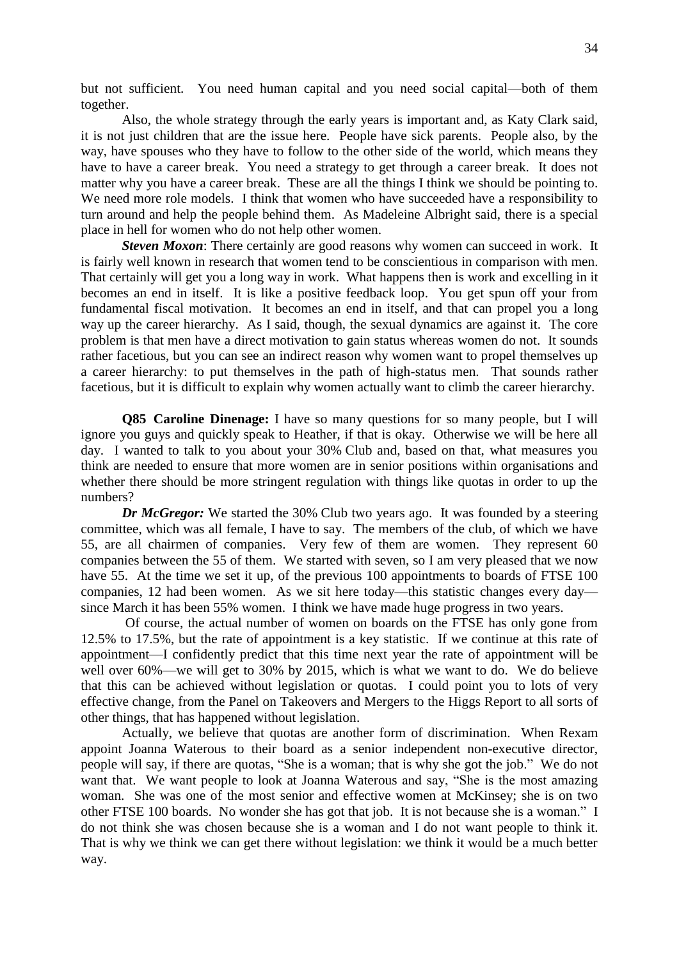but not sufficient. You need human capital and you need social capital—both of them together.

Also, the whole strategy through the early years is important and, as Katy Clark said, it is not just children that are the issue here. People have sick parents. People also, by the way, have spouses who they have to follow to the other side of the world, which means they have to have a career break. You need a strategy to get through a career break. It does not matter why you have a career break. These are all the things I think we should be pointing to. We need more role models. I think that women who have succeeded have a responsibility to turn around and help the people behind them. As Madeleine Albright said, there is a special place in hell for women who do not help other women.

*Steven Moxon*: There certainly are good reasons why women can succeed in work. It is fairly well known in research that women tend to be conscientious in comparison with men. That certainly will get you a long way in work. What happens then is work and excelling in it becomes an end in itself. It is like a positive feedback loop. You get spun off your from fundamental fiscal motivation. It becomes an end in itself, and that can propel you a long way up the career hierarchy. As I said, though, the sexual dynamics are against it. The core problem is that men have a direct motivation to gain status whereas women do not. It sounds rather facetious, but you can see an indirect reason why women want to propel themselves up a career hierarchy: to put themselves in the path of high-status men. That sounds rather facetious, but it is difficult to explain why women actually want to climb the career hierarchy.

**Q85 Caroline Dinenage:** I have so many questions for so many people, but I will ignore you guys and quickly speak to Heather, if that is okay. Otherwise we will be here all day. I wanted to talk to you about your 30% Club and, based on that, what measures you think are needed to ensure that more women are in senior positions within organisations and whether there should be more stringent regulation with things like quotas in order to up the numbers?

*Dr McGregor:* We started the 30% Club two years ago. It was founded by a steering committee, which was all female, I have to say. The members of the club, of which we have 55, are all chairmen of companies. Very few of them are women. They represent 60 companies between the 55 of them. We started with seven, so I am very pleased that we now have 55. At the time we set it up, of the previous 100 appointments to boards of FTSE 100 companies, 12 had been women. As we sit here today—this statistic changes every day since March it has been 55% women. I think we have made huge progress in two years.

Of course, the actual number of women on boards on the FTSE has only gone from 12.5% to 17.5%, but the rate of appointment is a key statistic. If we continue at this rate of appointment—I confidently predict that this time next year the rate of appointment will be well over 60%—we will get to 30% by 2015, which is what we want to do. We do believe that this can be achieved without legislation or quotas. I could point you to lots of very effective change, from the Panel on Takeovers and Mergers to the Higgs Report to all sorts of other things, that has happened without legislation.

Actually, we believe that quotas are another form of discrimination. When Rexam appoint Joanna Waterous to their board as a senior independent non-executive director, people will say, if there are quotas, "She is a woman; that is why she got the job." We do not want that. We want people to look at Joanna Waterous and say, "She is the most amazing woman. She was one of the most senior and effective women at McKinsey; she is on two other FTSE 100 boards. No wonder she has got that job. It is not because she is a woman." I do not think she was chosen because she is a woman and I do not want people to think it. That is why we think we can get there without legislation: we think it would be a much better way.